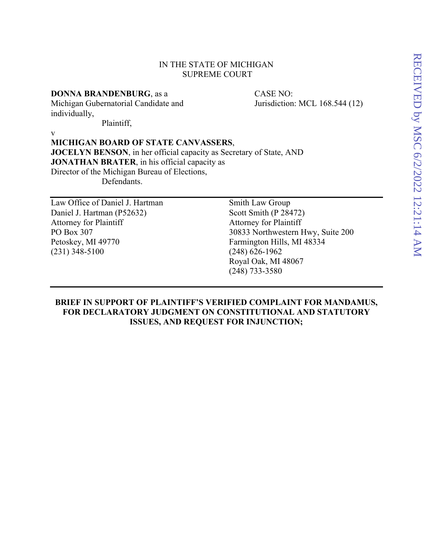# IN THE STATE OF MICHIGAN SUPREME COURT

#### **DONNA BRANDENBURG**, as a CASE NO:

Michigan Gubernatorial Candidate and Jurisdiction: MCL 168.544 (12) individually, Plaintiff,

v

# **MICHIGAN BOARD OF STATE CANVASSERS**,

**JOCELYN BENSON**, in her official capacity as Secretary of State, AND **JONATHAN BRATER**, in his official capacity as Director of the Michigan Bureau of Elections, Defendants.

Law Office of Daniel J. Hartman Smith Law Group Daniel J. Hartman (P52632) Scott Smith (P 28472) Attorney for Plaintiff Attorney for Plaintiff Petoskey, MI 49770 Farmington Hills, MI 48334 (231) 348-5100 (248) 626-1962

PO Box 307 30833 Northwestern Hwy, Suite 200 Royal Oak, MI 48067 (248) 733-3580

# **BRIEF IN SUPPORT OF PLAINTIFF'S VERIFIED COMPLAINT FOR MANDAMUS, FOR DECLARATORY JUDGMENT ON CONSTITUTIONAL AND STATUTORY ISSUES, AND REQUEST FOR INJUNCTION;**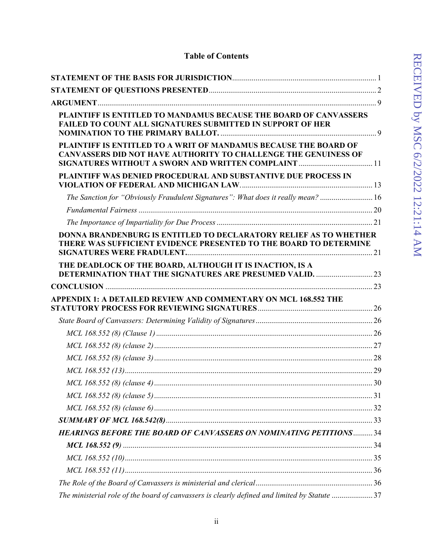# **Table of Contents**

| PLAINTIFF IS ENTITLED TO MANDAMUS BECAUSE THE BOARD OF CANVASSERS<br><b>FAILED TO COUNT ALL SIGNATURES SUBMITTED IN SUPPORT OF HER</b>        |  |
|-----------------------------------------------------------------------------------------------------------------------------------------------|--|
| PLAINTIFF IS ENTITLED TO A WRIT OF MANDAMUS BECAUSE THE BOARD OF<br><b>CANVASSERS DID NOT HAVE AUTHORITY TO CHALLENGE THE GENUINESS OF</b>    |  |
| <b>PLAINTIFF WAS DENIED PROCEDURAL AND SUBSTANTIVE DUE PROCESS IN</b>                                                                         |  |
| The Sanction for "Obviously Fraudulent Signatures": What does it really mean?  16                                                             |  |
|                                                                                                                                               |  |
|                                                                                                                                               |  |
| <b>DONNA BRANDENBURG IS ENTITLED TO DECLARATORY RELIEF AS TO WHETHER</b><br>THERE WAS SUFFICIENT EVIDENCE PRESENTED TO THE BOARD TO DETERMINE |  |
| THE DEADLOCK OF THE BOARD, ALTHOUGH IT IS INACTION, IS A<br><b>DETERMINATION THAT THE SIGNATURES ARE PRESUMED VALID.  23</b>                  |  |
|                                                                                                                                               |  |
| APPENDIX 1: A DETAILED REVIEW AND COMMENTARY ON MCL 168.552 THE                                                                               |  |
|                                                                                                                                               |  |
|                                                                                                                                               |  |
|                                                                                                                                               |  |
|                                                                                                                                               |  |
|                                                                                                                                               |  |
|                                                                                                                                               |  |
|                                                                                                                                               |  |
|                                                                                                                                               |  |
|                                                                                                                                               |  |
| <b>HEARINGS BEFORE THE BOARD OF CANVASSERS ON NOMINATING PETITIONS34</b>                                                                      |  |
|                                                                                                                                               |  |
|                                                                                                                                               |  |
|                                                                                                                                               |  |
|                                                                                                                                               |  |
| The ministerial role of the board of canvassers is clearly defined and limited by Statute 37                                                  |  |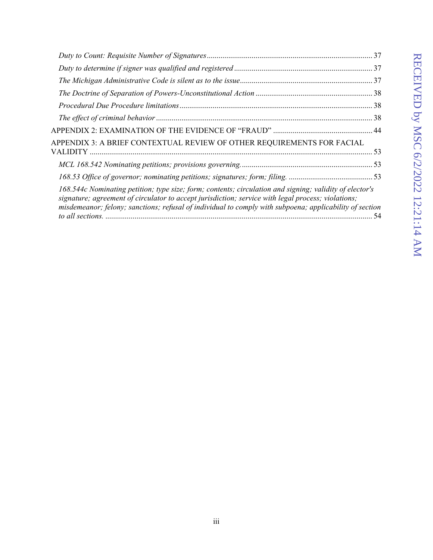| APPENDIX 3: A BRIEF CONTEXTUAL REVIEW OF OTHER REQUIREMENTS FOR FACIAL                                                                                                                                                                                                                                                   |  |
|--------------------------------------------------------------------------------------------------------------------------------------------------------------------------------------------------------------------------------------------------------------------------------------------------------------------------|--|
|                                                                                                                                                                                                                                                                                                                          |  |
|                                                                                                                                                                                                                                                                                                                          |  |
| 168.544c Nominating petition; type size; form; contents; circulation and signing; validity of elector's<br>signature; agreement of circulator to accept jurisdiction; service with legal process; violations;<br>misdemeanor; felony; sanctions; refusal of individual to comply with subpoena; applicability of section |  |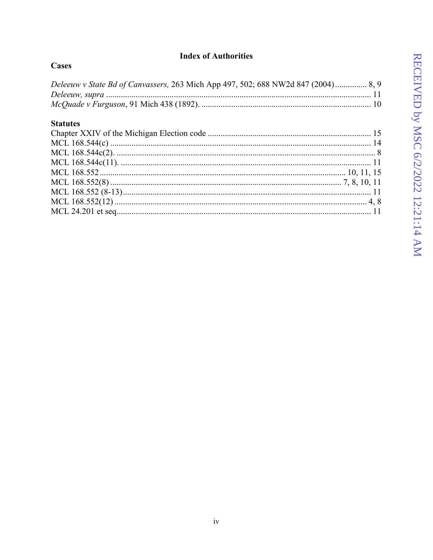# **Index of Authorities**

Cases

| Deleeuw v State Bd of Canvassers, 263 Mich App 497, 502; 688 NW2d 847 (2004) 8, 9 |  |
|-----------------------------------------------------------------------------------|--|
|                                                                                   |  |
|                                                                                   |  |
| <b>Statutes</b>                                                                   |  |
|                                                                                   |  |
|                                                                                   |  |
|                                                                                   |  |
|                                                                                   |  |
|                                                                                   |  |
|                                                                                   |  |
|                                                                                   |  |
|                                                                                   |  |
|                                                                                   |  |
|                                                                                   |  |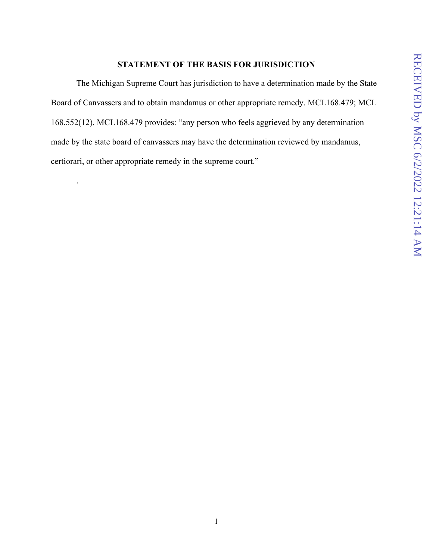# **STATEMENT OF THE BASIS FOR JURISDICTION**

<span id="page-4-0"></span>The Michigan Supreme Court has jurisdiction to have a determination made by the State Board of Canvassers and to obtain mandamus or other appropriate remedy. MCL168.479; MCL 168.552(12). MCL168.479 provides: "any person who feels aggrieved by any determination made by the state board of canvassers may have the determination reviewed by mandamus, certiorari, or other appropriate remedy in the supreme court."

.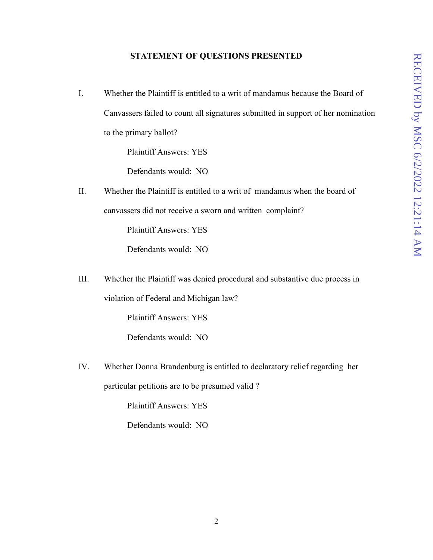# **STATEMENT OF QUESTIONS PRESENTED**

<span id="page-5-0"></span>I. Whether the Plaintiff is entitled to a writ of mandamus because the Board of Canvassers failed to count all signatures submitted in support of her nomination to the primary ballot?

Plaintiff Answers: YES

Defendants would: NO

II. Whether the Plaintiff is entitled to a writ of mandamus when the board of canvassers did not receive a sworn and written complaint?

Plaintiff Answers: YES

Defendants would: NO

III. Whether the Plaintiff was denied procedural and substantive due process in violation of Federal and Michigan law?

Plaintiff Answers: YES

Defendants would: NO

IV. Whether Donna Brandenburg is entitled to declaratory relief regarding her particular petitions are to be presumed valid ?

Plaintiff Answers: YES

Defendants would: NO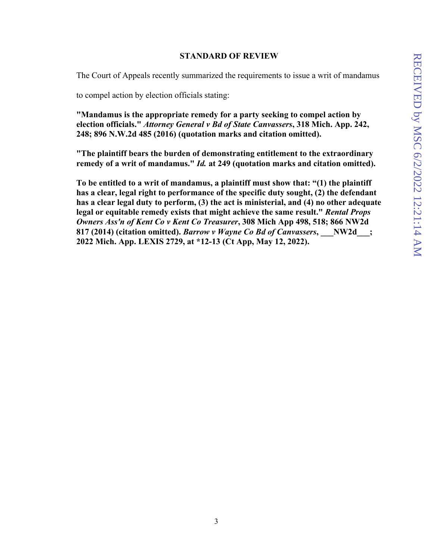#### **STANDARD OF REVIEW**

The Court of Appeals recently summarized the requirements to issue a writ of mandamus

to compel action by election officials stating:

**"Mandamus is the appropriate remedy for a party seeking to compel action by election officials."** *Attorney General v Bd of State Canvassers***, 318 Mich. App. 242, 248; 896 N.W.2d 485 (2016) (quotation marks and citation omitted).**

**"The plaintiff bears the burden of demonstrating entitlement to the extraordinary remedy of a writ of mandamus."** *Id.* **at 249 (quotation marks and citation omitted).**

**To be entitled to a writ of mandamus, a plaintiff must show that: "(1) the plaintiff has a clear, legal right to performance of the specific duty sought, (2) the defendant has a clear legal duty to perform, (3) the act is ministerial, and (4) no other adequate legal or equitable remedy exists that might achieve the same result."** *Rental Props Owners Ass'n of Kent Co v Kent Co Treasurer***, 308 Mich App 498, 518; 866 NW2d 817 (2014) (citation omitted).** *Barrow v Wayne Co Bd of Canvassers***, \_\_\_NW2d\_\_\_; 2022 Mich. App. LEXIS 2729, at \*12-13 (Ct App, May 12, 2022).**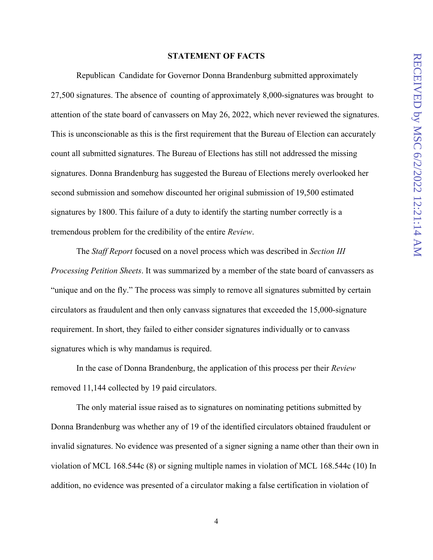#### **STATEMENT OF FACTS**

Republican Candidate for Governor Donna Brandenburg submitted approximately 27,500 signatures. The absence of counting of approximately 8,000-signatures was brought to attention of the state board of canvassers on May 26, 2022, which never reviewed the signatures. This is unconscionable as this is the first requirement that the Bureau of Election can accurately count all submitted signatures. The Bureau of Elections has still not addressed the missing signatures. Donna Brandenburg has suggested the Bureau of Elections merely overlooked her second submission and somehow discounted her original submission of 19,500 estimated signatures by 1800. This failure of a duty to identify the starting number correctly is a tremendous problem for the credibility of the entire *Review*.

The *Staff Report* focused on a novel process which was described in *Section III Processing Petition Sheets*. It was summarized by a member of the state board of canvassers as "unique and on the fly." The process was simply to remove all signatures submitted by certain circulators as fraudulent and then only canvass signatures that exceeded the 15,000-signature requirement. In short, they failed to either consider signatures individually or to canvass signatures which is why mandamus is required.

In the case of Donna Brandenburg, the application of this process per their *Review* removed 11,144 collected by 19 paid circulators.

The only material issue raised as to signatures on nominating petitions submitted by Donna Brandenburg was whether any of 19 of the identified circulators obtained fraudulent or invalid signatures. No evidence was presented of a signer signing a name other than their own in violation of MCL 168.544c (8) or signing multiple names in violation of MCL 168.544c (10) In addition, no evidence was presented of a circulator making a false certification in violation of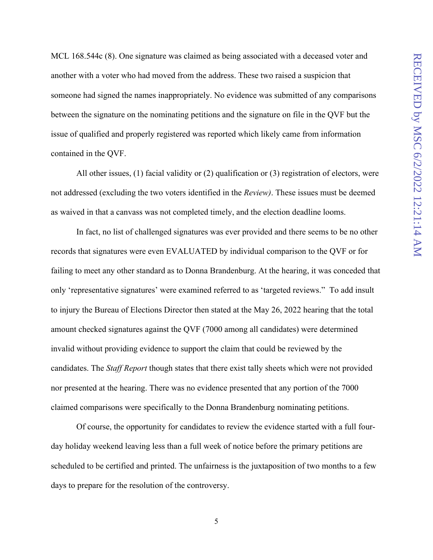MCL 168.544c (8). One signature was claimed as being associated with a deceased voter and another with a voter who had moved from the address. These two raised a suspicion that someone had signed the names inappropriately. No evidence was submitted of any comparisons between the signature on the nominating petitions and the signature on file in the QVF but the issue of qualified and properly registered was reported which likely came from information contained in the QVF.

All other issues, (1) facial validity or (2) qualification or (3) registration of electors, were not addressed (excluding the two voters identified in the *Review)*. These issues must be deemed as waived in that a canvass was not completed timely, and the election deadline looms.

In fact, no list of challenged signatures was ever provided and there seems to be no other records that signatures were even EVALUATED by individual comparison to the QVF or for failing to meet any other standard as to Donna Brandenburg. At the hearing, it was conceded that only 'representative signatures' were examined referred to as 'targeted reviews." To add insult to injury the Bureau of Elections Director then stated at the May 26, 2022 hearing that the total amount checked signatures against the QVF (7000 among all candidates) were determined invalid without providing evidence to support the claim that could be reviewed by the candidates. The *Staff Report* though states that there exist tally sheets which were not provided nor presented at the hearing. There was no evidence presented that any portion of the 7000 claimed comparisons were specifically to the Donna Brandenburg nominating petitions.

Of course, the opportunity for candidates to review the evidence started with a full fourday holiday weekend leaving less than a full week of notice before the primary petitions are scheduled to be certified and printed. The unfairness is the juxtaposition of two months to a few days to prepare for the resolution of the controversy.

5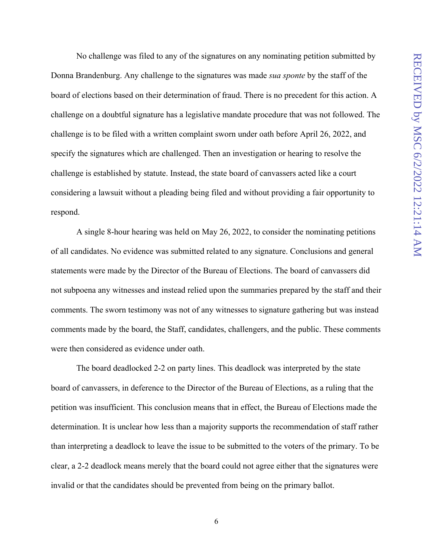No challenge was filed to any of the signatures on any nominating petition submitted by Donna Brandenburg. Any challenge to the signatures was made *sua sponte* by the staff of the board of elections based on their determination of fraud. There is no precedent for this action. A challenge on a doubtful signature has a legislative mandate procedure that was not followed. The challenge is to be filed with a written complaint sworn under oath before April 26, 2022, and specify the signatures which are challenged. Then an investigation or hearing to resolve the challenge is established by statute. Instead, the state board of canvassers acted like a court considering a lawsuit without a pleading being filed and without providing a fair opportunity to respond.

A single 8-hour hearing was held on May 26, 2022, to consider the nominating petitions of all candidates. No evidence was submitted related to any signature. Conclusions and general statements were made by the Director of the Bureau of Elections. The board of canvassers did not subpoena any witnesses and instead relied upon the summaries prepared by the staff and their comments. The sworn testimony was not of any witnesses to signature gathering but was instead comments made by the board, the Staff, candidates, challengers, and the public. These comments were then considered as evidence under oath.

The board deadlocked 2-2 on party lines. This deadlock was interpreted by the state board of canvassers, in deference to the Director of the Bureau of Elections, as a ruling that the petition was insufficient. This conclusion means that in effect, the Bureau of Elections made the determination. It is unclear how less than a majority supports the recommendation of staff rather than interpreting a deadlock to leave the issue to be submitted to the voters of the primary. To be clear, a 2-2 deadlock means merely that the board could not agree either that the signatures were invalid or that the candidates should be prevented from being on the primary ballot.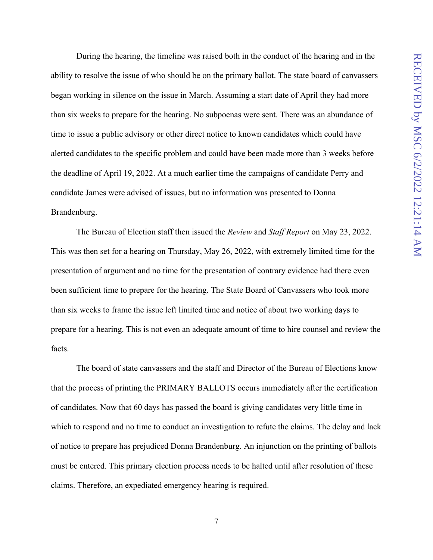During the hearing, the timeline was raised both in the conduct of the hearing and in the ability to resolve the issue of who should be on the primary ballot. The state board of canvassers began working in silence on the issue in March. Assuming a start date of April they had more than six weeks to prepare for the hearing. No subpoenas were sent. There was an abundance of time to issue a public advisory or other direct notice to known candidates which could have alerted candidates to the specific problem and could have been made more than 3 weeks before the deadline of April 19, 2022. At a much earlier time the campaigns of candidate Perry and candidate James were advised of issues, but no information was presented to Donna Brandenburg.

The Bureau of Election staff then issued the *Review* and *Staff Report* on May 23, 2022. This was then set for a hearing on Thursday, May 26, 2022, with extremely limited time for the presentation of argument and no time for the presentation of contrary evidence had there even been sufficient time to prepare for the hearing. The State Board of Canvassers who took more than six weeks to frame the issue left limited time and notice of about two working days to prepare for a hearing. This is not even an adequate amount of time to hire counsel and review the facts.

The board of state canvassers and the staff and Director of the Bureau of Elections know that the process of printing the PRIMARY BALLOTS occurs immediately after the certification of candidates. Now that 60 days has passed the board is giving candidates very little time in which to respond and no time to conduct an investigation to refute the claims. The delay and lack of notice to prepare has prejudiced Donna Brandenburg. An injunction on the printing of ballots must be entered. This primary election process needs to be halted until after resolution of these claims. Therefore, an expediated emergency hearing is required.

7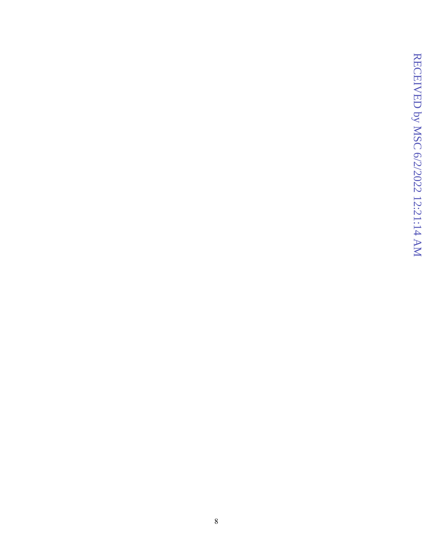RECEIVED by MSC 6/2/2022 12:21:14 AM RECEIVED by MSC 6/2/2022 12:21:14 AM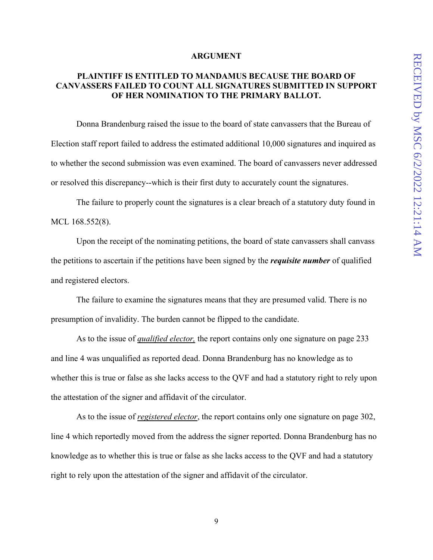#### **ARGUMENT**

# <span id="page-12-1"></span><span id="page-12-0"></span>**PLAINTIFF IS ENTITLED TO MANDAMUS BECAUSE THE BOARD OF CANVASSERS FAILED TO COUNT ALL SIGNATURES SUBMITTED IN SUPPORT OF HER NOMINATION TO THE PRIMARY BALLOT.**

Donna Brandenburg raised the issue to the board of state canvassers that the Bureau of Election staff report failed to address the estimated additional 10,000 signatures and inquired as to whether the second submission was even examined. The board of canvassers never addressed or resolved this discrepancy--which is their first duty to accurately count the signatures.

The failure to properly count the signatures is a clear breach of a statutory duty found in MCL 168.552(8).

Upon the receipt of the nominating petitions, the board of state canvassers shall canvass the petitions to ascertain if the petitions have been signed by the *requisite number* of qualified and registered electors.

The failure to examine the signatures means that they are presumed valid. There is no presumption of invalidity. The burden cannot be flipped to the candidate.

As to the issue of *qualified elector,* the report contains only one signature on page 233 and line 4 was unqualified as reported dead. Donna Brandenburg has no knowledge as to whether this is true or false as she lacks access to the QVF and had a statutory right to rely upon the attestation of the signer and affidavit of the circulator.

As to the issue of *registered elector*, the report contains only one signature on page 302, line 4 which reportedly moved from the address the signer reported. Donna Brandenburg has no knowledge as to whether this is true or false as she lacks access to the QVF and had a statutory right to rely upon the attestation of the signer and affidavit of the circulator.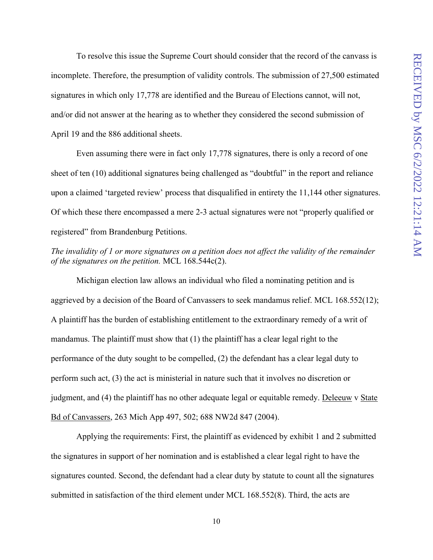To resolve this issue the Supreme Court should consider that the record of the canvass is incomplete. Therefore, the presumption of validity controls. The submission of 27,500 estimated signatures in which only 17,778 are identified and the Bureau of Elections cannot, will not, and/or did not answer at the hearing as to whether they considered the second submission of April 19 and the 886 additional sheets.

Even assuming there were in fact only 17,778 signatures, there is only a record of one sheet of ten (10) additional signatures being challenged as "doubtful" in the report and reliance upon a claimed 'targeted review' process that disqualified in entirety the 11,144 other signatures. Of which these there encompassed a mere 2-3 actual signatures were not "properly qualified or registered" from Brandenburg Petitions.

# *The invalidity of 1 or more signatures on a petition does not affect the validity of the remainder of the signatures on the petition.* MCL 168.544c(2).

Michigan election law allows an individual who filed a nominating petition and is aggrieved by a decision of the Board of Canvassers to seek mandamus relief. MCL 168.552(12); A plaintiff has the burden of establishing entitlement to the extraordinary remedy of a writ of mandamus. The plaintiff must show that (1) the plaintiff has a clear legal right to the performance of the duty sought to be compelled, (2) the defendant has a clear legal duty to perform such act, (3) the act is ministerial in nature such that it involves no discretion or judgment, and (4) the plaintiff has no other adequate legal or equitable remedy. Deleeuw v State Bd of Canvassers, 263 Mich App 497, 502; 688 NW2d 847 (2004).

Applying the requirements: First, the plaintiff as evidenced by exhibit 1 and 2 submitted the signatures in support of her nomination and is established a clear legal right to have the signatures counted. Second, the defendant had a clear duty by statute to count all the signatures submitted in satisfaction of the third element under MCL 168.552(8). Third, the acts are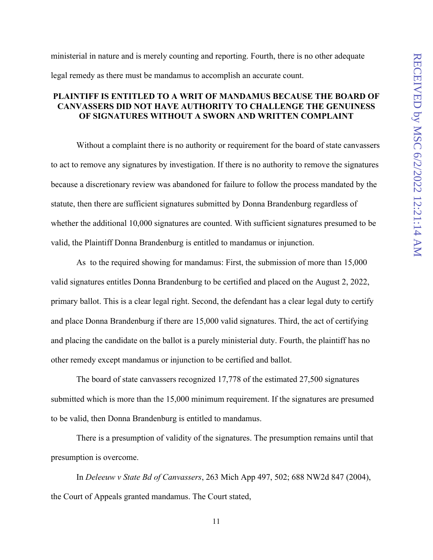ministerial in nature and is merely counting and reporting. Fourth, there is no other adequate legal remedy as there must be mandamus to accomplish an accurate count.

# <span id="page-14-0"></span>**PLAINTIFF IS ENTITLED TO A WRIT OF MANDAMUS BECAUSE THE BOARD OF CANVASSERS DID NOT HAVE AUTHORITY TO CHALLENGE THE GENUINESS OF SIGNATURES WITHOUT A SWORN AND WRITTEN COMPLAINT**

Without a complaint there is no authority or requirement for the board of state canvassers to act to remove any signatures by investigation. If there is no authority to remove the signatures because a discretionary review was abandoned for failure to follow the process mandated by the statute, then there are sufficient signatures submitted by Donna Brandenburg regardless of whether the additional 10,000 signatures are counted. With sufficient signatures presumed to be valid, the Plaintiff Donna Brandenburg is entitled to mandamus or injunction.

As to the required showing for mandamus: First, the submission of more than 15,000 valid signatures entitles Donna Brandenburg to be certified and placed on the August 2, 2022, primary ballot. This is a clear legal right. Second, the defendant has a clear legal duty to certify and place Donna Brandenburg if there are 15,000 valid signatures. Third, the act of certifying and placing the candidate on the ballot is a purely ministerial duty. Fourth, the plaintiff has no other remedy except mandamus or injunction to be certified and ballot.

The board of state canvassers recognized 17,778 of the estimated 27,500 signatures submitted which is more than the 15,000 minimum requirement. If the signatures are presumed to be valid, then Donna Brandenburg is entitled to mandamus.

There is a presumption of validity of the signatures. The presumption remains until that presumption is overcome.

In *Deleeuw v State Bd of Canvassers*, 263 Mich App 497, 502; 688 NW2d 847 (2004), the Court of Appeals granted mandamus. The Court stated,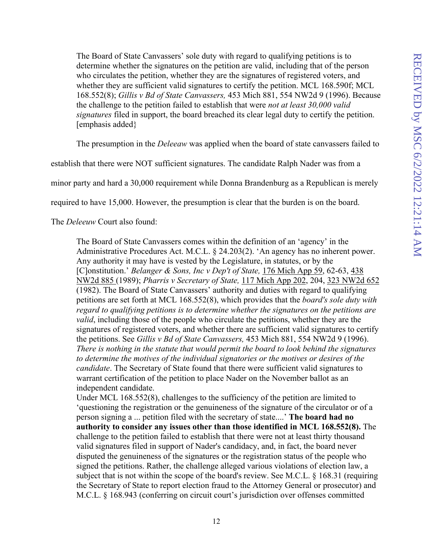The Board of State Canvassers' sole duty with regard to qualifying petitions is to determine whether the signatures on the petition are valid, including that of the person who circulates the petition, whether they are the signatures of registered voters, and whether they are sufficient valid signatures to certify the petition. MCL 168.590f; MCL 168.552(8); *Gillis v Bd of State Canvassers,* 453 Mich 881, 554 NW2d 9 (1996). Because the challenge to the petition failed to establish that were *not at least 30,000 valid signatures* filed in support, the board breached its clear legal duty to certify the petition. [emphasis added]

The presumption in the *Deleeaw* was applied when the board of state canvassers failed to

establish that there were NOT sufficient signatures. The candidate Ralph Nader was from a

minor party and hard a 30,000 requirement while Donna Brandenburg as a Republican is merely

required to have 15,000. However, the presumption is clear that the burden is on the board.

The *Deleeuw* Court also found:

The Board of State Canvassers comes within the definition of an 'agency' in the Administrative Procedures Act. M.C.L. § 24.203(2). 'An agency has no inherent power. Any authority it may have is vested by the Legislature, in statutes, or by the [C]onstitution.' *Belanger & Sons, Inc v Dep't of State,* [176 Mich App 59,](https://www.leagle.com/cite/176%20Mich.App.%2059) 62-63, [438](https://www.leagle.com/cite/438%20N.W.2d%20885)  [NW2d 885](https://www.leagle.com/cite/438%20N.W.2d%20885) (1989); *Pharris v Secretary of State,* [117 Mich App 202,](https://www.leagle.com/cite/117%20Mich.App.%20202) 204, [323 NW2d 652](https://www.leagle.com/cite/323%20N.W.2d%20652) (1982). The Board of State Canvassers' authority and duties with regard to qualifying petitions are set forth at MCL 168.552(8), which provides that the *board's sole duty with regard to qualifying petitions is to determine whether the signatures on the petitions are valid*, including those of the people who circulate the petitions, whether they are the signatures of registered voters, and whether there are sufficient valid signatures to certify the petitions. See *Gillis v Bd of State Canvassers,* 453 Mich 881, 554 NW2d 9 (1996). *There is nothing in the statute that would permit the board to look behind the signatures to determine the motives of the individual signatories or the motives or desires of the candidate*. The Secretary of State found that there were sufficient valid signatures to warrant certification of the petition to place Nader on the November ballot as an independent candidate.

Under MCL 168.552(8), challenges to the sufficiency of the petition are limited to 'questioning the registration or the genuineness of the signature of the circulator or of a person signing a ... petition filed with the secretary of state....' **The board had no authority to consider any issues other than those identified in MCL 168.552(8).** The challenge to the petition failed to establish that there were not at least thirty thousand valid signatures filed in support of Nader's candidacy, and, in fact, the board never disputed the genuineness of the signatures or the registration status of the people who signed the petitions. Rather, the challenge alleged various violations of election law, a subject that is not within the scope of the board's review. See M.C.L. § 168.31 (requiring the Secretary of State to report election fraud to the Attorney General or prosecutor) and M.C.L. § 168.943 (conferring on circuit court's jurisdiction over offenses committed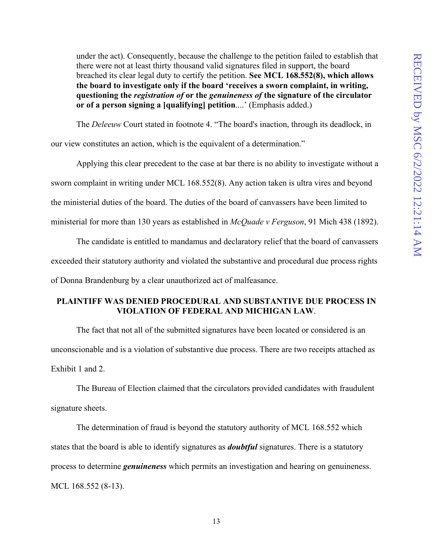under the act). Consequently, because the challenge to the petition failed to establish that there were not at least thirty thousand valid signatures filed in support, the board breached its clear legal duty to certify the petition. **See MCL 168.552(8), which allows the board to investigate only if the board 'receives a sworn complaint, in writing, questioning the** *registration of* **or the** *genuineness of* **the signature of the circulator or of a person signing a [qualifying] petition**....' (Emphasis added.)

The *Deleeuw* Court stated in footnote 4. "The board's inaction, through its deadlock, in our view constitutes an action, which is the equivalent of a determination."

Applying this clear precedent to the case at bar there is no ability to investigate without a sworn complaint in writing under MCL 168.552(8). Any action taken is ultra vires and beyond the ministerial duties of the board. The duties of the board of canvassers have been limited to ministerial for more than 130 years as established in *McQuade v Ferguson*, 91 Mich 438 (1892).

The candidate is entitled to mandamus and declaratory relief that the board of canvassers exceeded their statutory authority and violated the substantive and procedural due process rights of Donna Brandenburg by a clear unauthorized act of malfeasance.

# <span id="page-16-0"></span>**PLAINTIFF WAS DENIED PROCEDURAL AND SUBSTANTIVE DUE PROCESS IN VIOLATION OF FEDERAL AND MICHIGAN LAW**.

The fact that not all of the submitted signatures have been located or considered is an unconscionable and is a violation of substantive due process. There are two receipts attached as Exhibit 1 and 2.

The Bureau of Election claimed that the circulators provided candidates with fraudulent signature sheets.

The determination of fraud is beyond the statutory authority of MCL 168.552 which states that the board is able to identify signatures as *doubtful* signatures. There is a statutory process to determine *genuineness* which permits an investigation and hearing on genuineness. MCL 168.552 (8-13).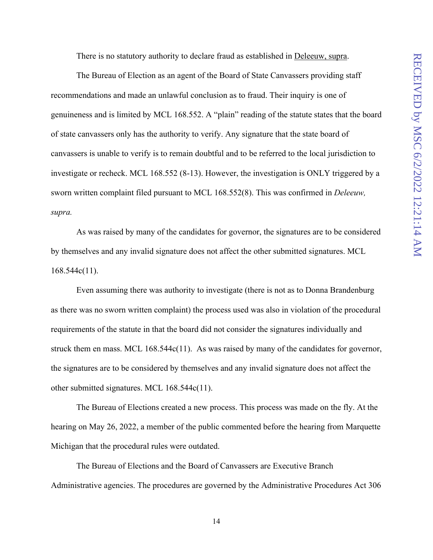There is no statutory authority to declare fraud as established in Deleeuw, supra.

The Bureau of Election as an agent of the Board of State Canvassers providing staff recommendations and made an unlawful conclusion as to fraud. Their inquiry is one of genuineness and is limited by MCL 168.552. A "plain" reading of the statute states that the board of state canvassers only has the authority to verify. Any signature that the state board of canvassers is unable to verify is to remain doubtful and to be referred to the local jurisdiction to investigate or recheck. MCL 168.552 (8-13). However, the investigation is ONLY triggered by a sworn written complaint filed pursuant to MCL 168.552(8). This was confirmed in *Deleeuw, supra.* 

As was raised by many of the candidates for governor, the signatures are to be considered by themselves and any invalid signature does not affect the other submitted signatures. MCL 168.544c(11).

Even assuming there was authority to investigate (there is not as to Donna Brandenburg as there was no sworn written complaint) the process used was also in violation of the procedural requirements of the statute in that the board did not consider the signatures individually and struck them en mass. MCL 168.544c(11). As was raised by many of the candidates for governor, the signatures are to be considered by themselves and any invalid signature does not affect the other submitted signatures. MCL 168.544c(11).

The Bureau of Elections created a new process. This process was made on the fly. At the hearing on May 26, 2022, a member of the public commented before the hearing from Marquette Michigan that the procedural rules were outdated.

The Bureau of Elections and the Board of Canvassers are Executive Branch Administrative agencies. The procedures are governed by the Administrative Procedures Act 306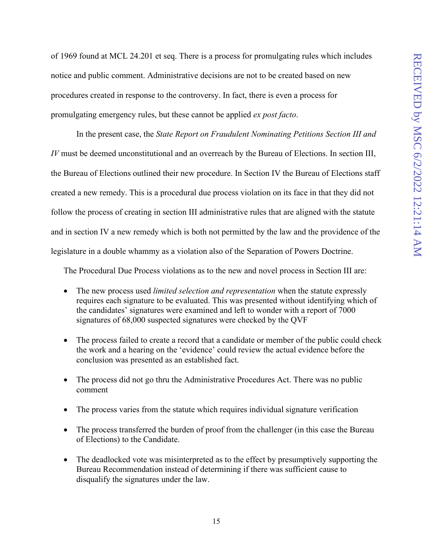of 1969 found at MCL 24.201 et seq. There is a process for promulgating rules which includes notice and public comment. Administrative decisions are not to be created based on new procedures created in response to the controversy. In fact, there is even a process for promulgating emergency rules, but these cannot be applied *ex post facto*.

In the present case, the *State Report on Fraudulent Nominating Petitions Section III and IV* must be deemed unconstitutional and an overreach by the Bureau of Elections. In section III, the Bureau of Elections outlined their new procedure. In Section IV the Bureau of Elections staff created a new remedy. This is a procedural due process violation on its face in that they did not follow the process of creating in section III administrative rules that are aligned with the statute and in section IV a new remedy which is both not permitted by the law and the providence of the legislature in a double whammy as a violation also of the Separation of Powers Doctrine.

The Procedural Due Process violations as to the new and novel process in Section III are:

- The new process used *limited selection and representation* when the statute expressly requires each signature to be evaluated. This was presented without identifying which of the candidates' signatures were examined and left to wonder with a report of 7000 signatures of 68,000 suspected signatures were checked by the QVF
- The process failed to create a record that a candidate or member of the public could check the work and a hearing on the 'evidence' could review the actual evidence before the conclusion was presented as an established fact.
- The process did not go thru the Administrative Procedures Act. There was no public comment
- The process varies from the statute which requires individual signature verification
- The process transferred the burden of proof from the challenger (in this case the Bureau of Elections) to the Candidate.
- The deadlocked vote was misinterpreted as to the effect by presumptively supporting the Bureau Recommendation instead of determining if there was sufficient cause to disqualify the signatures under the law.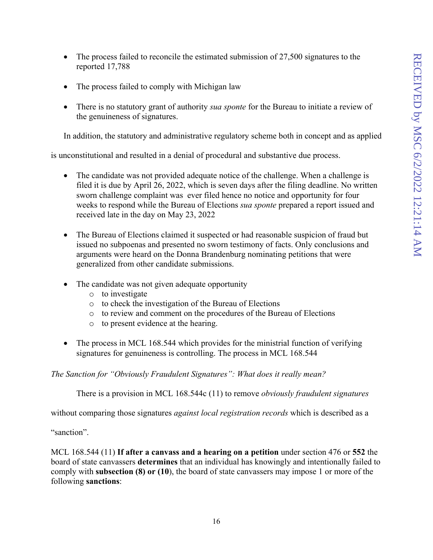- The process failed to reconcile the estimated submission of 27,500 signatures to the reported 17,788
- The process failed to comply with Michigan law
- There is no statutory grant of authority *sua sponte* for the Bureau to initiate a review of the genuineness of signatures.

In addition, the statutory and administrative regulatory scheme both in concept and as applied

is unconstitutional and resulted in a denial of procedural and substantive due process.

- The candidate was not provided adequate notice of the challenge. When a challenge is filed it is due by April 26, 2022, which is seven days after the filing deadline. No written sworn challenge complaint was ever filed hence no notice and opportunity for four weeks to respond while the Bureau of Elections *sua sponte* prepared a report issued and received late in the day on May 23, 2022
- The Bureau of Elections claimed it suspected or had reasonable suspicion of fraud but issued no subpoenas and presented no sworn testimony of facts. Only conclusions and arguments were heard on the Donna Brandenburg nominating petitions that were generalized from other candidate submissions.
- The candidate was not given adequate opportunity
	- o to investigate
	- o to check the investigation of the Bureau of Elections
	- o to review and comment on the procedures of the Bureau of Elections
	- o to present evidence at the hearing.
- The process in MCL 168.544 which provides for the ministrial function of verifying signatures for genuineness is controlling. The process in MCL 168.544

<span id="page-19-0"></span>*The Sanction for "Obviously Fraudulent Signatures": What does it really mean?*

There is a provision in MCL 168.544c (11) to remove *obviously fraudulent signatures*

without comparing those signatures *against local registration records* which is described as a

"sanction".

MCL 168.544 (11) **If after a canvass and a hearing on a petition** under section 476 or **552** the board of state canvassers **determines** that an individual has knowingly and intentionally failed to comply with **subsection (8) or (10**), the board of state canvassers may impose 1 or more of the following **sanctions**: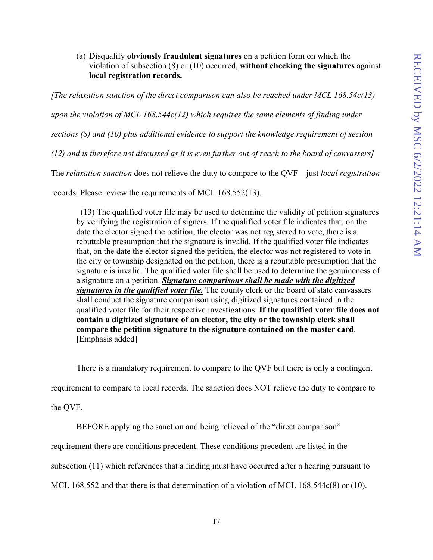(a) Disqualify **obviously fraudulent signatures** on a petition form on which the violation of subsection (8) or (10) occurred, **without checking the signatures** against **local registration records.**

*[The relaxation sanction of the direct comparison can also be reached under MCL 168.54c(13) upon the violation of MCL 168.544c(12) which requires the same elements of finding under sections (8) and (10) plus additional evidence to support the knowledge requirement of section (12) and is therefore not discussed as it is even further out of reach to the board of canvassers]* The *relaxation sanction* does not relieve the duty to compare to the QVF—just *local registration*

records. Please review the requirements of MCL 168.552(13).

 (13) The qualified voter file may be used to determine the validity of petition signatures by verifying the registration of signers. If the qualified voter file indicates that, on the date the elector signed the petition, the elector was not registered to vote, there is a rebuttable presumption that the signature is invalid. If the qualified voter file indicates that, on the date the elector signed the petition, the elector was not registered to vote in the city or township designated on the petition, there is a rebuttable presumption that the signature is invalid. The qualified voter file shall be used to determine the genuineness of a signature on a petition. *Signature comparisons shall be made with the digitized signatures in the qualified voter file.* The county clerk or the board of state canvassers shall conduct the signature comparison using digitized signatures contained in the qualified voter file for their respective investigations. **If the qualified voter file does not contain a digitized signature of an elector, the city or the township clerk shall compare the petition signature to the signature contained on the master card**. [Emphasis added]

There is a mandatory requirement to compare to the QVF but there is only a contingent requirement to compare to local records. The sanction does NOT relieve the duty to compare to the QVF.

BEFORE applying the sanction and being relieved of the "direct comparison"

requirement there are conditions precedent. These conditions precedent are listed in the

subsection (11) which references that a finding must have occurred after a hearing pursuant to

MCL 168.552 and that there is that determination of a violation of MCL 168.544c(8) or (10).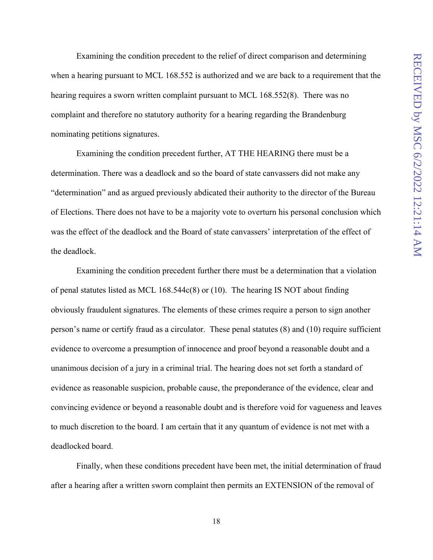Examining the condition precedent to the relief of direct comparison and determining when a hearing pursuant to MCL 168.552 is authorized and we are back to a requirement that the hearing requires a sworn written complaint pursuant to MCL 168.552(8). There was no complaint and therefore no statutory authority for a hearing regarding the Brandenburg nominating petitions signatures.

Examining the condition precedent further, AT THE HEARING there must be a determination. There was a deadlock and so the board of state canvassers did not make any "determination" and as argued previously abdicated their authority to the director of the Bureau of Elections. There does not have to be a majority vote to overturn his personal conclusion which was the effect of the deadlock and the Board of state canvassers' interpretation of the effect of the deadlock.

Examining the condition precedent further there must be a determination that a violation of penal statutes listed as MCL 168.544c(8) or (10). The hearing IS NOT about finding obviously fraudulent signatures. The elements of these crimes require a person to sign another person's name or certify fraud as a circulator. These penal statutes (8) and (10) require sufficient evidence to overcome a presumption of innocence and proof beyond a reasonable doubt and a unanimous decision of a jury in a criminal trial. The hearing does not set forth a standard of evidence as reasonable suspicion, probable cause, the preponderance of the evidence, clear and convincing evidence or beyond a reasonable doubt and is therefore void for vagueness and leaves to much discretion to the board. I am certain that it any quantum of evidence is not met with a deadlocked board.

Finally, when these conditions precedent have been met, the initial determination of fraud after a hearing after a written sworn complaint then permits an EXTENSION of the removal of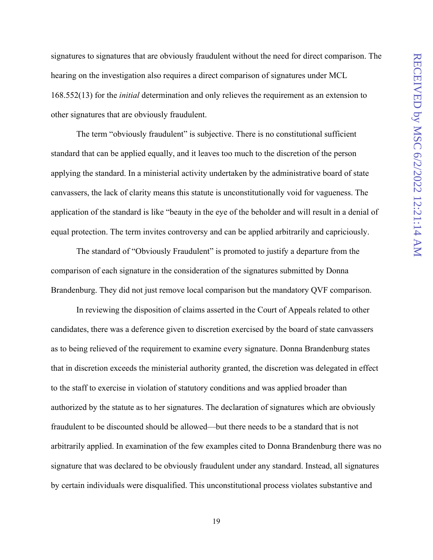signatures to signatures that are obviously fraudulent without the need for direct comparison. The hearing on the investigation also requires a direct comparison of signatures under MCL 168.552(13) for the *initial* determination and only relieves the requirement as an extension to other signatures that are obviously fraudulent.

The term "obviously fraudulent" is subjective. There is no constitutional sufficient standard that can be applied equally, and it leaves too much to the discretion of the person applying the standard. In a ministerial activity undertaken by the administrative board of state canvassers, the lack of clarity means this statute is unconstitutionally void for vagueness. The application of the standard is like "beauty in the eye of the beholder and will result in a denial of equal protection. The term invites controversy and can be applied arbitrarily and capriciously.

The standard of "Obviously Fraudulent" is promoted to justify a departure from the comparison of each signature in the consideration of the signatures submitted by Donna Brandenburg. They did not just remove local comparison but the mandatory QVF comparison.

In reviewing the disposition of claims asserted in the Court of Appeals related to other candidates, there was a deference given to discretion exercised by the board of state canvassers as to being relieved of the requirement to examine every signature. Donna Brandenburg states that in discretion exceeds the ministerial authority granted, the discretion was delegated in effect to the staff to exercise in violation of statutory conditions and was applied broader than authorized by the statute as to her signatures. The declaration of signatures which are obviously fraudulent to be discounted should be allowed—but there needs to be a standard that is not arbitrarily applied. In examination of the few examples cited to Donna Brandenburg there was no signature that was declared to be obviously fraudulent under any standard. Instead, all signatures by certain individuals were disqualified. This unconstitutional process violates substantive and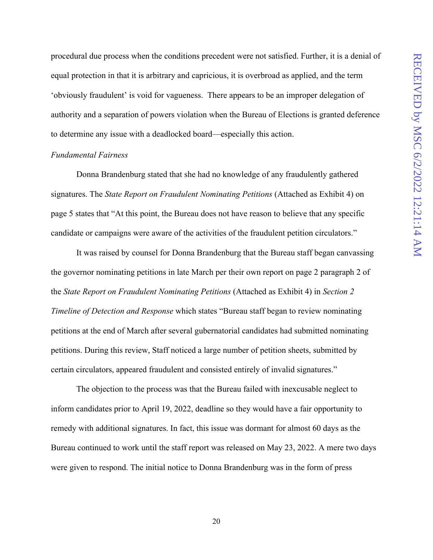procedural due process when the conditions precedent were not satisfied. Further, it is a denial of equal protection in that it is arbitrary and capricious, it is overbroad as applied, and the term 'obviously fraudulent' is void for vagueness. There appears to be an improper delegation of authority and a separation of powers violation when the Bureau of Elections is granted deference to determine any issue with a deadlocked board—especially this action.

#### <span id="page-23-0"></span>*Fundamental Fairness*

Donna Brandenburg stated that she had no knowledge of any fraudulently gathered signatures. The *State Report on Fraudulent Nominating Petitions* (Attached as Exhibit 4) on page 5 states that "At this point, the Bureau does not have reason to believe that any specific candidate or campaigns were aware of the activities of the fraudulent petition circulators."

It was raised by counsel for Donna Brandenburg that the Bureau staff began canvassing the governor nominating petitions in late March per their own report on page 2 paragraph 2 of the *State Report on Fraudulent Nominating Petitions* (Attached as Exhibit 4) in *Section 2 Timeline of Detection and Response* which states "Bureau staff began to review nominating petitions at the end of March after several gubernatorial candidates had submitted nominating petitions. During this review, Staff noticed a large number of petition sheets, submitted by certain circulators, appeared fraudulent and consisted entirely of invalid signatures."

The objection to the process was that the Bureau failed with inexcusable neglect to inform candidates prior to April 19, 2022, deadline so they would have a fair opportunity to remedy with additional signatures. In fact, this issue was dormant for almost 60 days as the Bureau continued to work until the staff report was released on May 23, 2022. A mere two days were given to respond. The initial notice to Donna Brandenburg was in the form of press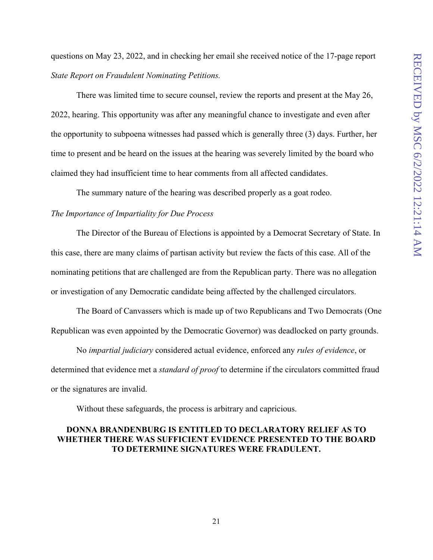questions on May 23, 2022, and in checking her email she received notice of the 17-page report *State Report on Fraudulent Nominating Petitions.* 

There was limited time to secure counsel, review the reports and present at the May 26, 2022, hearing. This opportunity was after any meaningful chance to investigate and even after the opportunity to subpoena witnesses had passed which is generally three (3) days. Further, her time to present and be heard on the issues at the hearing was severely limited by the board who claimed they had insufficient time to hear comments from all affected candidates.

The summary nature of the hearing was described properly as a goat rodeo.

# <span id="page-24-0"></span>*The Importance of Impartiality for Due Process*

The Director of the Bureau of Elections is appointed by a Democrat Secretary of State. In this case, there are many claims of partisan activity but review the facts of this case. All of the nominating petitions that are challenged are from the Republican party. There was no allegation or investigation of any Democratic candidate being affected by the challenged circulators.

The Board of Canvassers which is made up of two Republicans and Two Democrats (One Republican was even appointed by the Democratic Governor) was deadlocked on party grounds.

No *impartial judiciary* considered actual evidence, enforced any *rules of evidence*, or determined that evidence met a *standard of proof* to determine if the circulators committed fraud or the signatures are invalid.

Without these safeguards, the process is arbitrary and capricious.

# <span id="page-24-1"></span>**DONNA BRANDENBURG IS ENTITLED TO DECLARATORY RELIEF AS TO WHETHER THERE WAS SUFFICIENT EVIDENCE PRESENTED TO THE BOARD TO DETERMINE SIGNATURES WERE FRADULENT.**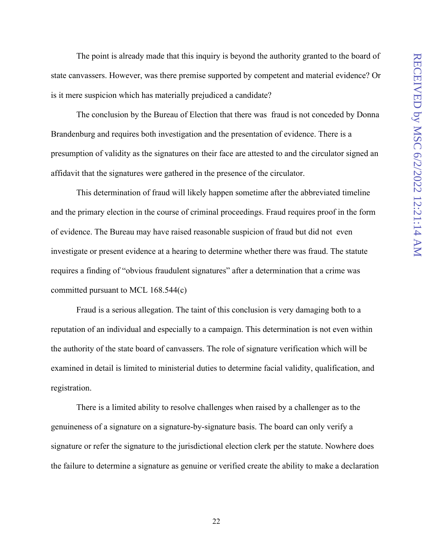The point is already made that this inquiry is beyond the authority granted to the board of state canvassers. However, was there premise supported by competent and material evidence? Or is it mere suspicion which has materially prejudiced a candidate?

The conclusion by the Bureau of Election that there was fraud is not conceded by Donna Brandenburg and requires both investigation and the presentation of evidence. There is a presumption of validity as the signatures on their face are attested to and the circulator signed an affidavit that the signatures were gathered in the presence of the circulator.

This determination of fraud will likely happen sometime after the abbreviated timeline and the primary election in the course of criminal proceedings. Fraud requires proof in the form of evidence. The Bureau may have raised reasonable suspicion of fraud but did not even investigate or present evidence at a hearing to determine whether there was fraud. The statute requires a finding of "obvious fraudulent signatures" after a determination that a crime was committed pursuant to MCL 168.544(c)

Fraud is a serious allegation. The taint of this conclusion is very damaging both to a reputation of an individual and especially to a campaign. This determination is not even within the authority of the state board of canvassers. The role of signature verification which will be examined in detail is limited to ministerial duties to determine facial validity, qualification, and registration.

There is a limited ability to resolve challenges when raised by a challenger as to the genuineness of a signature on a signature-by-signature basis. The board can only verify a signature or refer the signature to the jurisdictional election clerk per the statute. Nowhere does the failure to determine a signature as genuine or verified create the ability to make a declaration

22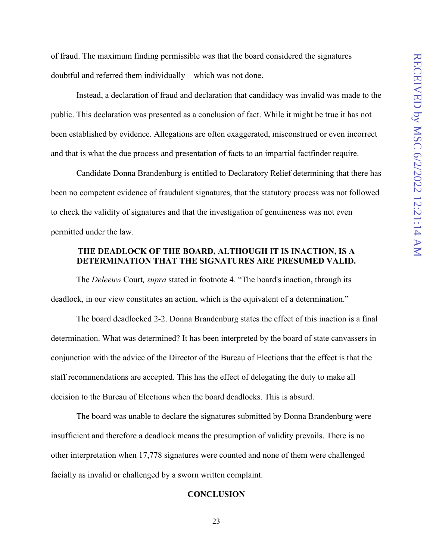of fraud. The maximum finding permissible was that the board considered the signatures doubtful and referred them individually—which was not done.

Instead, a declaration of fraud and declaration that candidacy was invalid was made to the public. This declaration was presented as a conclusion of fact. While it might be true it has not been established by evidence. Allegations are often exaggerated, misconstrued or even incorrect and that is what the due process and presentation of facts to an impartial factfinder require.

Candidate Donna Brandenburg is entitled to Declaratory Relief determining that there has been no competent evidence of fraudulent signatures, that the statutory process was not followed to check the validity of signatures and that the investigation of genuineness was not even permitted under the law.

# <span id="page-26-0"></span>**THE DEADLOCK OF THE BOARD, ALTHOUGH IT IS INACTION, IS A DETERMINATION THAT THE SIGNATURES ARE PRESUMED VALID.**

The *Deleeuw* Court*, supra* stated in footnote 4. "The board's inaction, through its deadlock, in our view constitutes an action, which is the equivalent of a determination."

The board deadlocked 2-2. Donna Brandenburg states the effect of this inaction is a final determination. What was determined? It has been interpreted by the board of state canvassers in conjunction with the advice of the Director of the Bureau of Elections that the effect is that the staff recommendations are accepted. This has the effect of delegating the duty to make all decision to the Bureau of Elections when the board deadlocks. This is absurd.

<span id="page-26-1"></span>The board was unable to declare the signatures submitted by Donna Brandenburg were insufficient and therefore a deadlock means the presumption of validity prevails. There is no other interpretation when 17,778 signatures were counted and none of them were challenged facially as invalid or challenged by a sworn written complaint.

# **CONCLUSION**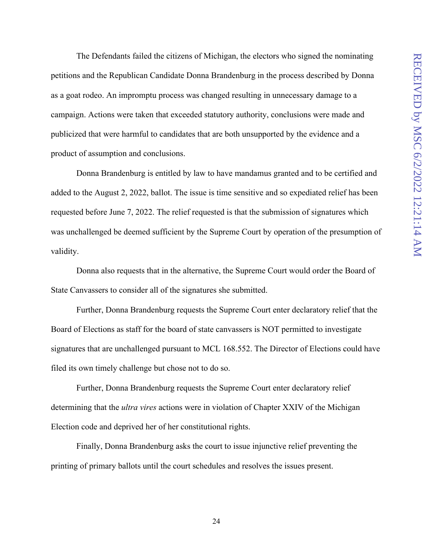The Defendants failed the citizens of Michigan, the electors who signed the nominating petitions and the Republican Candidate Donna Brandenburg in the process described by Donna as a goat rodeo. An impromptu process was changed resulting in unnecessary damage to a campaign. Actions were taken that exceeded statutory authority, conclusions were made and publicized that were harmful to candidates that are both unsupported by the evidence and a product of assumption and conclusions.

Donna Brandenburg is entitled by law to have mandamus granted and to be certified and added to the August 2, 2022, ballot. The issue is time sensitive and so expediated relief has been requested before June 7, 2022. The relief requested is that the submission of signatures which was unchallenged be deemed sufficient by the Supreme Court by operation of the presumption of validity.

Donna also requests that in the alternative, the Supreme Court would order the Board of State Canvassers to consider all of the signatures she submitted.

Further, Donna Brandenburg requests the Supreme Court enter declaratory relief that the Board of Elections as staff for the board of state canvassers is NOT permitted to investigate signatures that are unchallenged pursuant to MCL 168.552. The Director of Elections could have filed its own timely challenge but chose not to do so.

Further, Donna Brandenburg requests the Supreme Court enter declaratory relief determining that the *ultra vires* actions were in violation of Chapter XXIV of the Michigan Election code and deprived her of her constitutional rights.

Finally, Donna Brandenburg asks the court to issue injunctive relief preventing the printing of primary ballots until the court schedules and resolves the issues present.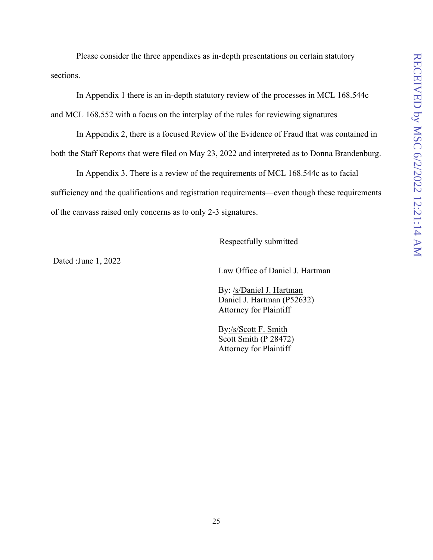Please consider the three appendixes as in-depth presentations on certain statutory sections.

In Appendix 1 there is an in-depth statutory review of the processes in MCL 168.544c and MCL 168.552 with a focus on the interplay of the rules for reviewing signatures

In Appendix 2, there is a focused Review of the Evidence of Fraud that was contained in both the Staff Reports that were filed on May 23, 2022 and interpreted as to Donna Brandenburg.

In Appendix 3. There is a review of the requirements of MCL 168.544c as to facial sufficiency and the qualifications and registration requirements—even though these requirements of the canvass raised only concerns as to only 2-3 signatures.

Respectfully submitted

Dated :June 1, 2022

Law Office of Daniel J. Hartman

 By: /s/Daniel J. Hartman Daniel J. Hartman (P52632) Attorney for Plaintiff

By:/s/Scott F. Smith Scott Smith (P 28472) Attorney for Plaintiff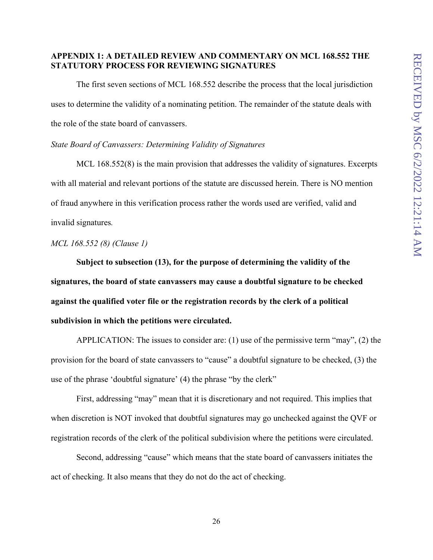# <span id="page-29-0"></span>**APPENDIX 1: A DETAILED REVIEW AND COMMENTARY ON MCL 168.552 THE STATUTORY PROCESS FOR REVIEWING SIGNATURES**

The first seven sections of MCL 168.552 describe the process that the local jurisdiction uses to determine the validity of a nominating petition. The remainder of the statute deals with the role of the state board of canvassers.

# <span id="page-29-1"></span>*State Board of Canvassers: Determining Validity of Signatures*

MCL 168.552(8) is the main provision that addresses the validity of signatures. Excerpts with all material and relevant portions of the statute are discussed herein. There is NO mention of fraud anywhere in this verification process rather the words used are verified, valid and invalid signatures*.*

# <span id="page-29-2"></span>*MCL 168.552 (8) (Clause 1)*

**Subject to subsection (13), for the purpose of determining the validity of the signatures, the board of state canvassers may cause a doubtful signature to be checked against the qualified voter file or the registration records by the clerk of a political subdivision in which the petitions were circulated.** 

APPLICATION: The issues to consider are: (1) use of the permissive term "may", (2) the provision for the board of state canvassers to "cause" a doubtful signature to be checked, (3) the use of the phrase 'doubtful signature' (4) the phrase "by the clerk"

First, addressing "may" mean that it is discretionary and not required. This implies that when discretion is NOT invoked that doubtful signatures may go unchecked against the QVF or registration records of the clerk of the political subdivision where the petitions were circulated.

Second, addressing "cause" which means that the state board of canvassers initiates the act of checking. It also means that they do not do the act of checking.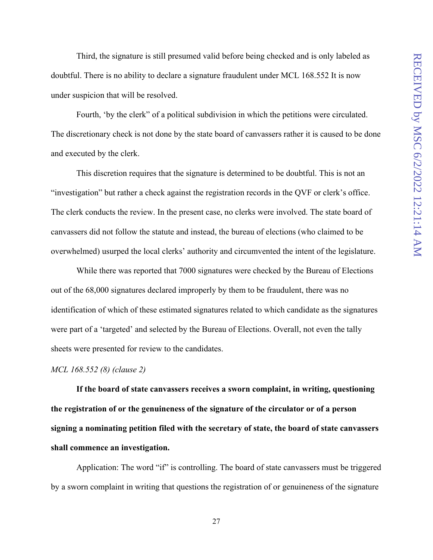Third, the signature is still presumed valid before being checked and is only labeled as doubtful. There is no ability to declare a signature fraudulent under MCL 168.552 It is now under suspicion that will be resolved.

Fourth, 'by the clerk" of a political subdivision in which the petitions were circulated. The discretionary check is not done by the state board of canvassers rather it is caused to be done and executed by the clerk.

This discretion requires that the signature is determined to be doubtful. This is not an "investigation" but rather a check against the registration records in the QVF or clerk's office. The clerk conducts the review. In the present case, no clerks were involved. The state board of canvassers did not follow the statute and instead, the bureau of elections (who claimed to be overwhelmed) usurped the local clerks' authority and circumvented the intent of the legislature.

While there was reported that 7000 signatures were checked by the Bureau of Elections out of the 68,000 signatures declared improperly by them to be fraudulent, there was no identification of which of these estimated signatures related to which candidate as the signatures were part of a 'targeted' and selected by the Bureau of Elections. Overall, not even the tally sheets were presented for review to the candidates.

#### <span id="page-30-0"></span>*MCL 168.552 (8) (clause 2)*

**If the board of state canvassers receives a sworn complaint, in writing, questioning the registration of or the genuineness of the signature of the circulator or of a person signing a nominating petition filed with the secretary of state, the board of state canvassers shall commence an investigation.** 

Application: The word "if" is controlling. The board of state canvassers must be triggered by a sworn complaint in writing that questions the registration of or genuineness of the signature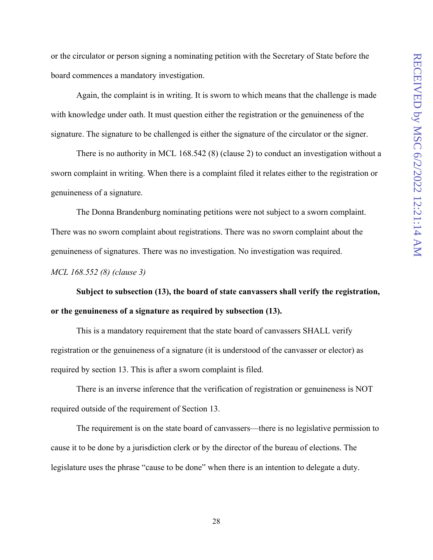or the circulator or person signing a nominating petition with the Secretary of State before the board commences a mandatory investigation.

Again, the complaint is in writing. It is sworn to which means that the challenge is made with knowledge under oath. It must question either the registration or the genuineness of the signature. The signature to be challenged is either the signature of the circulator or the signer.

There is no authority in MCL 168.542 (8) (clause 2) to conduct an investigation without a sworn complaint in writing. When there is a complaint filed it relates either to the registration or genuineness of a signature.

The Donna Brandenburg nominating petitions were not subject to a sworn complaint. There was no sworn complaint about registrations. There was no sworn complaint about the genuineness of signatures. There was no investigation. No investigation was required.

<span id="page-31-0"></span>*MCL 168.552 (8) (clause 3)* 

**Subject to subsection (13), the board of state canvassers shall verify the registration, or the genuineness of a signature as required by subsection (13).** 

This is a mandatory requirement that the state board of canvassers SHALL verify registration or the genuineness of a signature (it is understood of the canvasser or elector) as required by section 13. This is after a sworn complaint is filed.

There is an inverse inference that the verification of registration or genuineness is NOT required outside of the requirement of Section 13.

The requirement is on the state board of canvassers—there is no legislative permission to cause it to be done by a jurisdiction clerk or by the director of the bureau of elections. The legislature uses the phrase "cause to be done" when there is an intention to delegate a duty.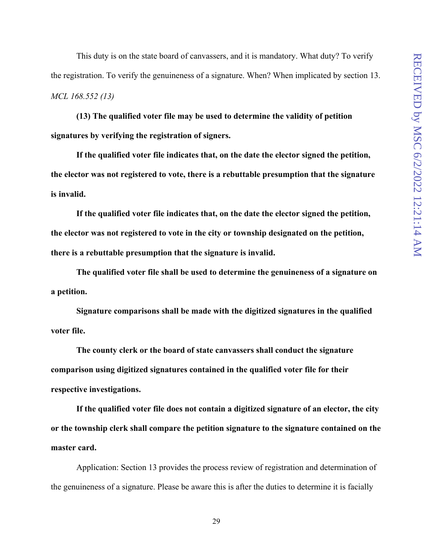This duty is on the state board of canvassers, and it is mandatory. What duty? To verify the registration. To verify the genuineness of a signature. When? When implicated by section 13. *MCL 168.552 (13)* 

<span id="page-32-0"></span>**(13) The qualified voter file may be used to determine the validity of petition signatures by verifying the registration of signers.** 

**If the qualified voter file indicates that, on the date the elector signed the petition, the elector was not registered to vote, there is a rebuttable presumption that the signature is invalid.** 

**If the qualified voter file indicates that, on the date the elector signed the petition, the elector was not registered to vote in the city or township designated on the petition, there is a rebuttable presumption that the signature is invalid.** 

**The qualified voter file shall be used to determine the genuineness of a signature on a petition.** 

**Signature comparisons shall be made with the digitized signatures in the qualified voter file.** 

**The county clerk or the board of state canvassers shall conduct the signature comparison using digitized signatures contained in the qualified voter file for their respective investigations.** 

**If the qualified voter file does not contain a digitized signature of an elector, the city or the township clerk shall compare the petition signature to the signature contained on the master card.**

Application: Section 13 provides the process review of registration and determination of the genuineness of a signature. Please be aware this is after the duties to determine it is facially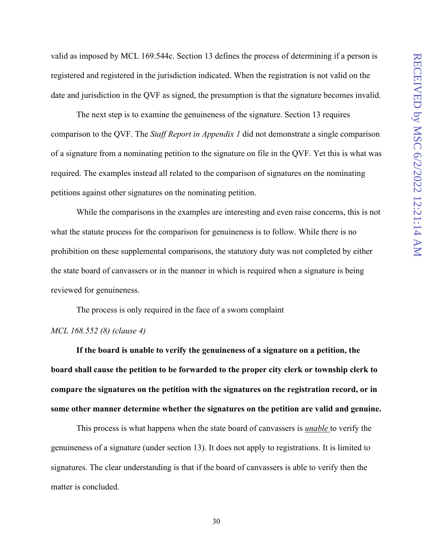valid as imposed by MCL 169.544c. Section 13 defines the process of determining if a person is registered and registered in the jurisdiction indicated. When the registration is not valid on the date and jurisdiction in the QVF as signed, the presumption is that the signature becomes invalid.

The next step is to examine the genuineness of the signature. Section 13 requires comparison to the QVF. The *Staff Report in Appendix 1* did not demonstrate a single comparison of a signature from a nominating petition to the signature on file in the QVF. Yet this is what was required. The examples instead all related to the comparison of signatures on the nominating petitions against other signatures on the nominating petition.

While the comparisons in the examples are interesting and even raise concerns, this is not what the statute process for the comparison for genuineness is to follow. While there is no prohibition on these supplemental comparisons, the statutory duty was not completed by either the state board of canvassers or in the manner in which is required when a signature is being reviewed for genuineness.

The process is only required in the face of a sworn complaint

#### <span id="page-33-0"></span>*MCL 168.552 (8) (clause 4)*

**If the board is unable to verify the genuineness of a signature on a petition, the board shall cause the petition to be forwarded to the proper city clerk or township clerk to compare the signatures on the petition with the signatures on the registration record, or in some other manner determine whether the signatures on the petition are valid and genuine.** 

This process is what happens when the state board of canvassers is *unable* to verify the genuineness of a signature (under section 13). It does not apply to registrations. It is limited to signatures. The clear understanding is that if the board of canvassers is able to verify then the matter is concluded.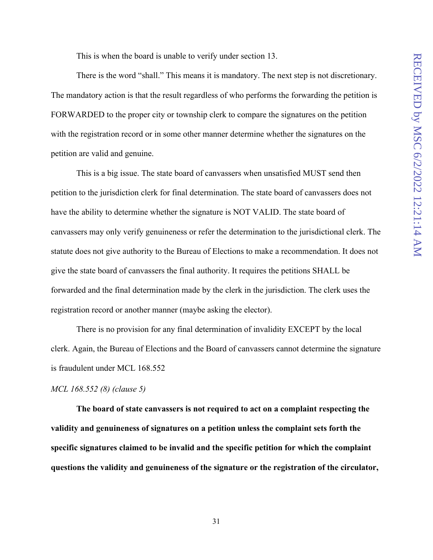This is when the board is unable to verify under section 13.

There is the word "shall." This means it is mandatory. The next step is not discretionary. The mandatory action is that the result regardless of who performs the forwarding the petition is FORWARDED to the proper city or township clerk to compare the signatures on the petition with the registration record or in some other manner determine whether the signatures on the petition are valid and genuine.

This is a big issue. The state board of canvassers when unsatisfied MUST send then petition to the jurisdiction clerk for final determination. The state board of canvassers does not have the ability to determine whether the signature is NOT VALID. The state board of canvassers may only verify genuineness or refer the determination to the jurisdictional clerk. The statute does not give authority to the Bureau of Elections to make a recommendation. It does not give the state board of canvassers the final authority. It requires the petitions SHALL be forwarded and the final determination made by the clerk in the jurisdiction. The clerk uses the registration record or another manner (maybe asking the elector).

There is no provision for any final determination of invalidity EXCEPT by the local clerk. Again, the Bureau of Elections and the Board of canvassers cannot determine the signature is fraudulent under MCL 168.552

#### <span id="page-34-0"></span>*MCL 168.552 (8) (clause 5)*

**The board of state canvassers is not required to act on a complaint respecting the validity and genuineness of signatures on a petition unless the complaint sets forth the specific signatures claimed to be invalid and the specific petition for which the complaint questions the validity and genuineness of the signature or the registration of the circulator,**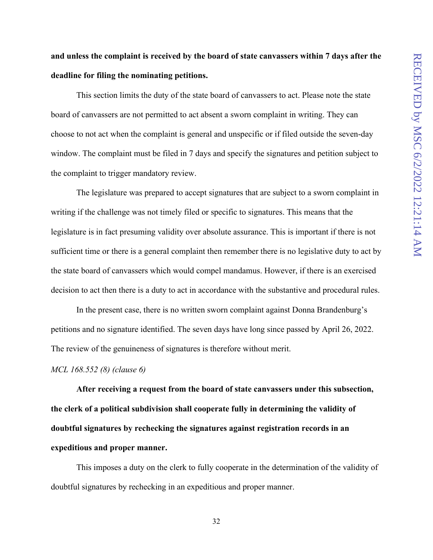**and unless the complaint is received by the board of state canvassers within 7 days after the deadline for filing the nominating petitions.** 

This section limits the duty of the state board of canvassers to act. Please note the state board of canvassers are not permitted to act absent a sworn complaint in writing. They can choose to not act when the complaint is general and unspecific or if filed outside the seven-day window. The complaint must be filed in 7 days and specify the signatures and petition subject to the complaint to trigger mandatory review.

The legislature was prepared to accept signatures that are subject to a sworn complaint in writing if the challenge was not timely filed or specific to signatures. This means that the legislature is in fact presuming validity over absolute assurance. This is important if there is not sufficient time or there is a general complaint then remember there is no legislative duty to act by the state board of canvassers which would compel mandamus. However, if there is an exercised decision to act then there is a duty to act in accordance with the substantive and procedural rules.

In the present case, there is no written sworn complaint against Donna Brandenburg's petitions and no signature identified. The seven days have long since passed by April 26, 2022. The review of the genuineness of signatures is therefore without merit.

#### <span id="page-35-0"></span>*MCL 168.552 (8) (clause 6)*

**After receiving a request from the board of state canvassers under this subsection, the clerk of a political subdivision shall cooperate fully in determining the validity of doubtful signatures by rechecking the signatures against registration records in an expeditious and proper manner.** 

This imposes a duty on the clerk to fully cooperate in the determination of the validity of doubtful signatures by rechecking in an expeditious and proper manner.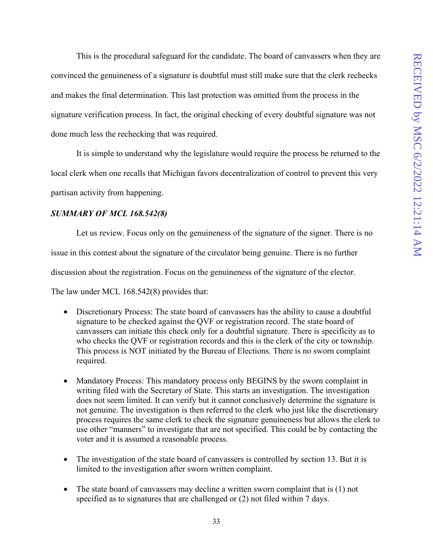This is the procedural safeguard for the candidate. The board of canvassers when they are convinced the genuineness of a signature is doubtful must still make sure that the clerk rechecks and makes the final determination. This last protection was omitted from the process in the signature verification process. In fact, the original checking of every doubtful signature was not done much less the rechecking that was required.

It is simple to understand why the legislature would require the process be returned to the local clerk when one recalls that Michigan favors decentralization of control to prevent this very partisan activity from happening.

# <span id="page-36-0"></span>*SUMMARY OF MCL 168.542(8)*

Let us review. Focus only on the genuineness of the signature of the signer. There is no issue in this contest about the signature of the circulator being genuine. There is no further discussion about the registration. Focus on the genuineness of the signature of the elector.

The law under MCL 168.542(8) provides that:

- Discretionary Process: The state board of canvassers has the ability to cause a doubtful signature to be checked against the QVF or registration record. The state board of canvassers can initiate this check only for a doubtful signature. There is specificity as to who checks the QVF or registration records and this is the clerk of the city or township. This process is NOT initiated by the Bureau of Elections. There is no sworn complaint required.
- Mandatory Process: This mandatory process only BEGINS by the sworn complaint in writing filed with the Secretary of State. This starts an investigation. The investigation does not seem limited. It can verify but it cannot conclusively determine the signature is not genuine. The investigation is then referred to the clerk who just like the discretionary process requires the same clerk to check the signature genuineness but allows the clerk to use other "manners" to investigate that are not specified. This could be by contacting the voter and it is assumed a reasonable process.
- The investigation of the state board of canvassers is controlled by section 13. But it is limited to the investigation after sworn written complaint.
- The state board of canvassers may decline a written sworn complaint that is (1) not specified as to signatures that are challenged or (2) not filed within 7 days.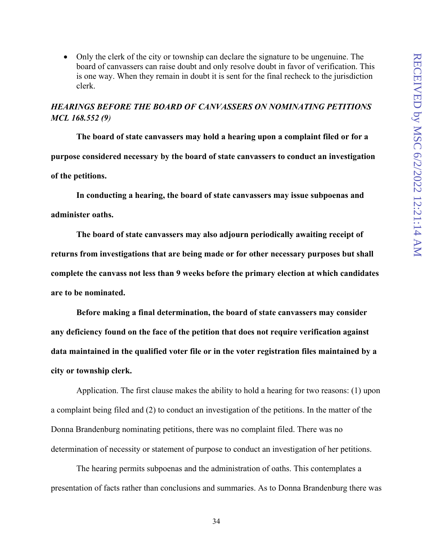• Only the clerk of the city or township can declare the signature to be ungenuine. The board of canvassers can raise doubt and only resolve doubt in favor of verification. This is one way. When they remain in doubt it is sent for the final recheck to the jurisdiction clerk.

# <span id="page-37-1"></span><span id="page-37-0"></span>*HEARINGS BEFORE THE BOARD OF CANVASSERS ON NOMINATING PETITIONS MCL 168.552 (9)*

**The board of state canvassers may hold a hearing upon a complaint filed or for a purpose considered necessary by the board of state canvassers to conduct an investigation of the petitions.** 

**In conducting a hearing, the board of state canvassers may issue subpoenas and administer oaths.** 

**The board of state canvassers may also adjourn periodically awaiting receipt of returns from investigations that are being made or for other necessary purposes but shall complete the canvass not less than 9 weeks before the primary election at which candidates are to be nominated.** 

**Before making a final determination, the board of state canvassers may consider any deficiency found on the face of the petition that does not require verification against data maintained in the qualified voter file or in the voter registration files maintained by a city or township clerk.**

Application. The first clause makes the ability to hold a hearing for two reasons: (1) upon a complaint being filed and (2) to conduct an investigation of the petitions. In the matter of the Donna Brandenburg nominating petitions, there was no complaint filed. There was no determination of necessity or statement of purpose to conduct an investigation of her petitions.

The hearing permits subpoenas and the administration of oaths. This contemplates a presentation of facts rather than conclusions and summaries. As to Donna Brandenburg there was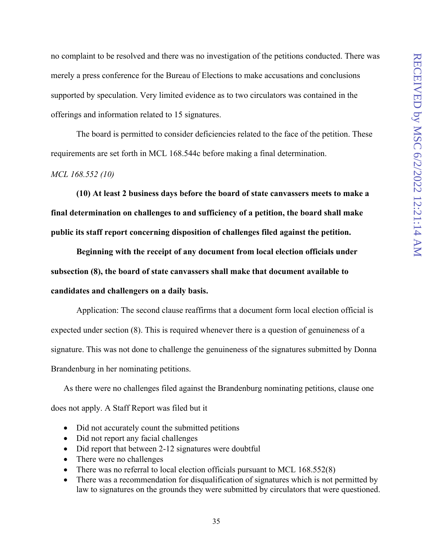no complaint to be resolved and there was no investigation of the petitions conducted. There was merely a press conference for the Bureau of Elections to make accusations and conclusions supported by speculation. Very limited evidence as to two circulators was contained in the offerings and information related to 15 signatures.

The board is permitted to consider deficiencies related to the face of the petition. These requirements are set forth in MCL 168.544c before making a final determination.

#### <span id="page-38-0"></span>*MCL 168.552 (10)*

**(10) At least 2 business days before the board of state canvassers meets to make a final determination on challenges to and sufficiency of a petition, the board shall make public its staff report concerning disposition of challenges filed against the petition.** 

**Beginning with the receipt of any document from local election officials under subsection (8), the board of state canvassers shall make that document available to candidates and challengers on a daily basis.**

Application: The second clause reaffirms that a document form local election official is expected under section (8). This is required whenever there is a question of genuineness of a signature. This was not done to challenge the genuineness of the signatures submitted by Donna Brandenburg in her nominating petitions.

As there were no challenges filed against the Brandenburg nominating petitions, clause one does not apply. A Staff Report was filed but it

- Did not accurately count the submitted petitions
- Did not report any facial challenges
- Did report that between 2-12 signatures were doubtful
- There were no challenges
- There was no referral to local election officials pursuant to MCL 168.552(8)
- There was a recommendation for disqualification of signatures which is not permitted by law to signatures on the grounds they were submitted by circulators that were questioned.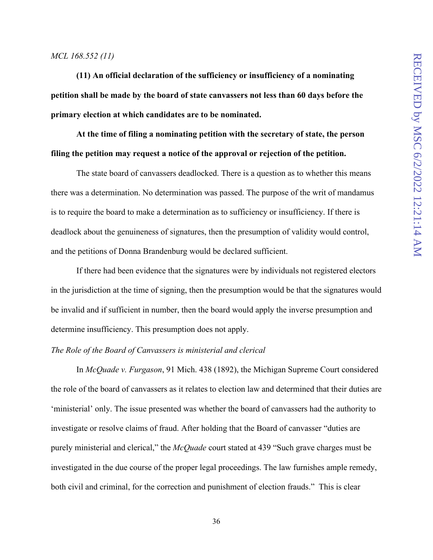#### <span id="page-39-0"></span>*MCL 168.552 (11)*

**(11) An official declaration of the sufficiency or insufficiency of a nominating petition shall be made by the board of state canvassers not less than 60 days before the primary election at which candidates are to be nominated.** 

**At the time of filing a nominating petition with the secretary of state, the person filing the petition may request a notice of the approval or rejection of the petition.** 

The state board of canvassers deadlocked. There is a question as to whether this means there was a determination. No determination was passed. The purpose of the writ of mandamus is to require the board to make a determination as to sufficiency or insufficiency. If there is deadlock about the genuineness of signatures, then the presumption of validity would control, and the petitions of Donna Brandenburg would be declared sufficient.

If there had been evidence that the signatures were by individuals not registered electors in the jurisdiction at the time of signing, then the presumption would be that the signatures would be invalid and if sufficient in number, then the board would apply the inverse presumption and determine insufficiency. This presumption does not apply.

#### <span id="page-39-1"></span>*The Role of the Board of Canvassers is ministerial and clerical*

In *McQuade v. Furgason*, 91 Mich. 438 (1892), the Michigan Supreme Court considered the role of the board of canvassers as it relates to election law and determined that their duties are 'ministerial' only. The issue presented was whether the board of canvassers had the authority to investigate or resolve claims of fraud. After holding that the Board of canvasser "duties are purely ministerial and clerical," the *McQuade* court stated at 439 "Such grave charges must be investigated in the due course of the proper legal proceedings. The law furnishes ample remedy, both civil and criminal, for the correction and punishment of election frauds." This is clear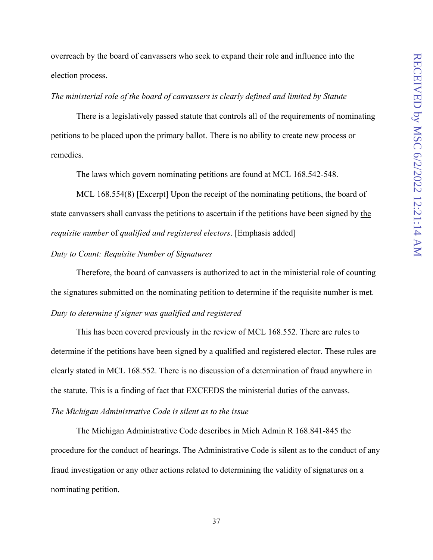overreach by the board of canvassers who seek to expand their role and influence into the election process.

#### <span id="page-40-0"></span>*The ministerial role of the board of canvassers is clearly defined and limited by Statute*

There is a legislatively passed statute that controls all of the requirements of nominating petitions to be placed upon the primary ballot. There is no ability to create new process or remedies.

The laws which govern nominating petitions are found at MCL 168.542-548.

MCL 168.554(8) [Excerpt] Upon the receipt of the nominating petitions, the board of state canvassers shall canvass the petitions to ascertain if the petitions have been signed by the *requisite number* of *qualified and registered electors*. [Emphasis added]

# <span id="page-40-1"></span>*Duty to Count: Requisite Number of Signatures*

Therefore, the board of canvassers is authorized to act in the ministerial role of counting the signatures submitted on the nominating petition to determine if the requisite number is met.

# <span id="page-40-2"></span>*Duty to determine if signer was qualified and registered*

This has been covered previously in the review of MCL 168.552. There are rules to determine if the petitions have been signed by a qualified and registered elector. These rules are clearly stated in MCL 168.552. There is no discussion of a determination of fraud anywhere in the statute. This is a finding of fact that EXCEEDS the ministerial duties of the canvass.

### <span id="page-40-3"></span>*The Michigan Administrative Code is silent as to the issue*

The Michigan Administrative Code describes in Mich Admin R 168.841-845 the procedure for the conduct of hearings. The Administrative Code is silent as to the conduct of any fraud investigation or any other actions related to determining the validity of signatures on a nominating petition.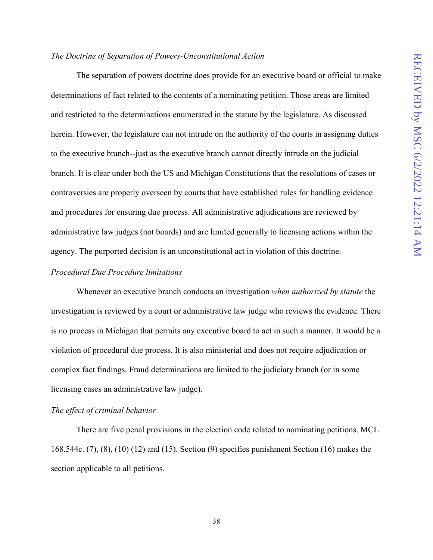#### <span id="page-41-0"></span>*The Doctrine of Separation of Powers-Unconstitutional Action*

The separation of powers doctrine does provide for an executive board or official to make determinations of fact related to the contents of a nominating petition. Those areas are limited and restricted to the determinations enumerated in the statute by the legislature. As discussed herein. However, the legislature can not intrude on the authority of the courts in assigning duties to the executive branch--just as the executive branch cannot directly intrude on the judicial branch. It is clear under both the US and Michigan Constitutions that the resolutions of cases or controversies are properly overseen by courts that have established rules for handling evidence and procedures for ensuring due process. All administrative adjudications are reviewed by administrative law judges (not boards) and are limited generally to licensing actions within the agency. The purported decision is an unconstitutional act in violation of this doctrine.

# <span id="page-41-1"></span>*Procedural Due Procedure limitations*

Whenever an executive branch conducts an investigation *when authorized by statute* the investigation is reviewed by a court or administrative law judge who reviews the evidence. There is no process in Michigan that permits any executive board to act in such a manner. It would be a violation of procedural due process. It is also ministerial and does not require adjudication or complex fact findings. Fraud determinations are limited to the judiciary branch (or in some licensing cases an administrative law judge).

#### <span id="page-41-2"></span>*The effect of criminal behavior*

There are five penal provisions in the election code related to nominating petitions. MCL 168.544c. (7), (8), (10) (12) and (15). Section (9) specifies punishment Section (16) makes the section applicable to all petitions.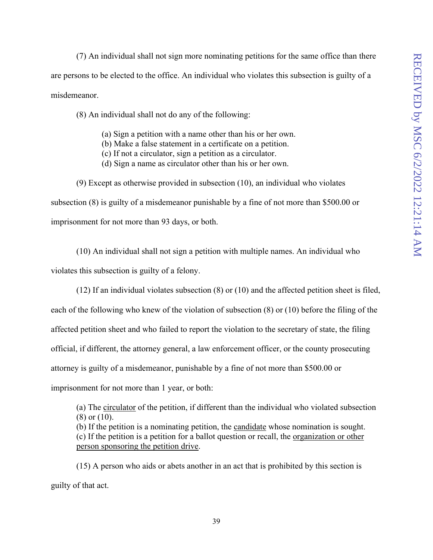(7) An individual shall not sign more nominating petitions for the same office than there are persons to be elected to the office. An individual who violates this subsection is guilty of a misdemeanor.

(8) An individual shall not do any of the following:

(a) Sign a petition with a name other than his or her own.

(b) Make a false statement in a certificate on a petition.

(c) If not a circulator, sign a petition as a circulator.

(d) Sign a name as circulator other than his or her own.

(9) Except as otherwise provided in subsection (10), an individual who violates subsection (8) is guilty of a misdemeanor punishable by a fine of not more than \$500.00 or imprisonment for not more than 93 days, or both.

(10) An individual shall not sign a petition with multiple names. An individual who violates this subsection is guilty of a felony.

(12) If an individual violates subsection (8) or (10) and the affected petition sheet is filed,

each of the following who knew of the violation of subsection (8) or (10) before the filing of the affected petition sheet and who failed to report the violation to the secretary of state, the filing official, if different, the attorney general, a law enforcement officer, or the county prosecuting attorney is guilty of a misdemeanor, punishable by a fine of not more than \$500.00 or

imprisonment for not more than 1 year, or both:

(a) The circulator of the petition, if different than the individual who violated subsection (8) or (10).

(b) If the petition is a nominating petition, the candidate whose nomination is sought. (c) If the petition is a petition for a ballot question or recall, the organization or other person sponsoring the petition drive.

(15) A person who aids or abets another in an act that is prohibited by this section is guilty of that act.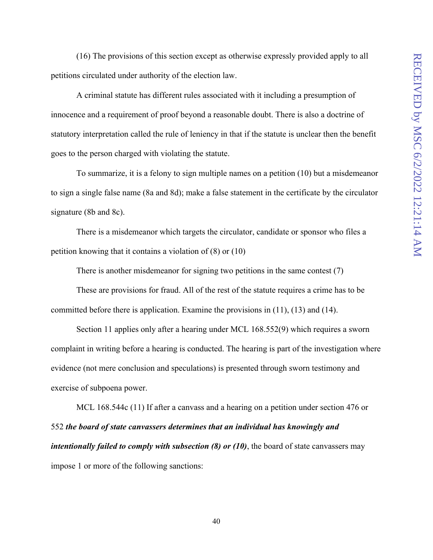(16) The provisions of this section except as otherwise expressly provided apply to all petitions circulated under authority of the election law.

A criminal statute has different rules associated with it including a presumption of innocence and a requirement of proof beyond a reasonable doubt. There is also a doctrine of statutory interpretation called the rule of leniency in that if the statute is unclear then the benefit goes to the person charged with violating the statute.

To summarize, it is a felony to sign multiple names on a petition (10) but a misdemeanor to sign a single false name (8a and 8d); make a false statement in the certificate by the circulator signature (8b and 8c).

There is a misdemeanor which targets the circulator, candidate or sponsor who files a petition knowing that it contains a violation of (8) or (10)

There is another misdemeanor for signing two petitions in the same contest (7)

These are provisions for fraud. All of the rest of the statute requires a crime has to be committed before there is application. Examine the provisions in (11), (13) and (14).

Section 11 applies only after a hearing under MCL 168.552(9) which requires a sworn complaint in writing before a hearing is conducted. The hearing is part of the investigation where evidence (not mere conclusion and speculations) is presented through sworn testimony and exercise of subpoena power.

MCL 168.544c (11) If after a canvass and a hearing on a petition under section 476 or 552 *the board of state canvassers determines that an individual has knowingly and intentionally failed to comply with subsection (8) or (10)*, the board of state canvassers may impose 1 or more of the following sanctions: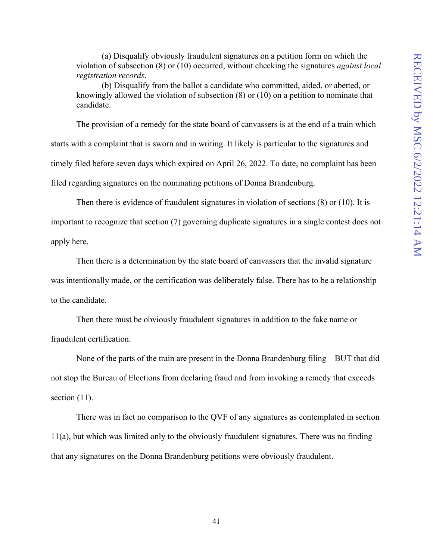(a) Disqualify obviously fraudulent signatures on a petition form on which the violation of subsection (8) or (10) occurred, without checking the signatures *against local registration records*.

(b) Disqualify from the ballot a candidate who committed, aided, or abetted, or knowingly allowed the violation of subsection (8) or (10) on a petition to nominate that candidate.

The provision of a remedy for the state board of canvassers is at the end of a train which starts with a complaint that is sworn and in writing. It likely is particular to the signatures and timely filed before seven days which expired on April 26, 2022. To date, no complaint has been filed regarding signatures on the nominating petitions of Donna Brandenburg.

Then there is evidence of fraudulent signatures in violation of sections (8) or (10). It is important to recognize that section (7) governing duplicate signatures in a single contest does not

apply here.

Then there is a determination by the state board of canvassers that the invalid signature was intentionally made, or the certification was deliberately false. There has to be a relationship to the candidate.

Then there must be obviously fraudulent signatures in addition to the fake name or fraudulent certification.

None of the parts of the train are present in the Donna Brandenburg filing—BUT that did not stop the Bureau of Elections from declaring fraud and from invoking a remedy that exceeds section  $(11)$ .

There was in fact no comparison to the QVF of any signatures as contemplated in section 11(a), but which was limited only to the obviously fraudulent signatures. There was no finding that any signatures on the Donna Brandenburg petitions were obviously fraudulent.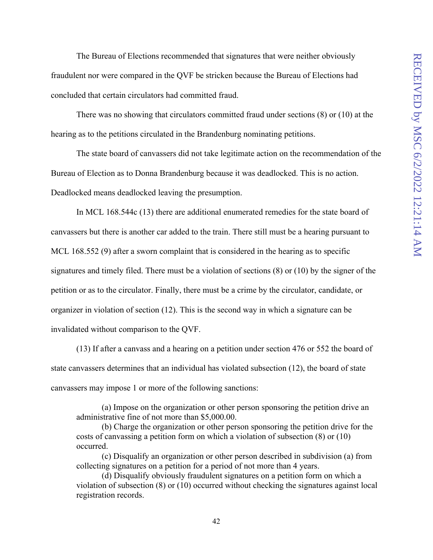The Bureau of Elections recommended that signatures that were neither obviously fraudulent nor were compared in the QVF be stricken because the Bureau of Elections had concluded that certain circulators had committed fraud.

There was no showing that circulators committed fraud under sections (8) or (10) at the hearing as to the petitions circulated in the Brandenburg nominating petitions.

The state board of canvassers did not take legitimate action on the recommendation of the Bureau of Election as to Donna Brandenburg because it was deadlocked. This is no action. Deadlocked means deadlocked leaving the presumption.

In MCL 168.544c (13) there are additional enumerated remedies for the state board of canvassers but there is another car added to the train. There still must be a hearing pursuant to MCL 168.552 (9) after a sworn complaint that is considered in the hearing as to specific signatures and timely filed. There must be a violation of sections (8) or (10) by the signer of the petition or as to the circulator. Finally, there must be a crime by the circulator, candidate, or organizer in violation of section (12). This is the second way in which a signature can be invalidated without comparison to the QVF.

(13) If after a canvass and a hearing on a petition under section 476 or 552 the board of state canvassers determines that an individual has violated subsection (12), the board of state canvassers may impose 1 or more of the following sanctions:

(a) Impose on the organization or other person sponsoring the petition drive an administrative fine of not more than \$5,000.00.

(b) Charge the organization or other person sponsoring the petition drive for the costs of canvassing a petition form on which a violation of subsection (8) or (10) occurred.

(c) Disqualify an organization or other person described in subdivision (a) from collecting signatures on a petition for a period of not more than 4 years.

(d) Disqualify obviously fraudulent signatures on a petition form on which a violation of subsection (8) or (10) occurred without checking the signatures against local registration records.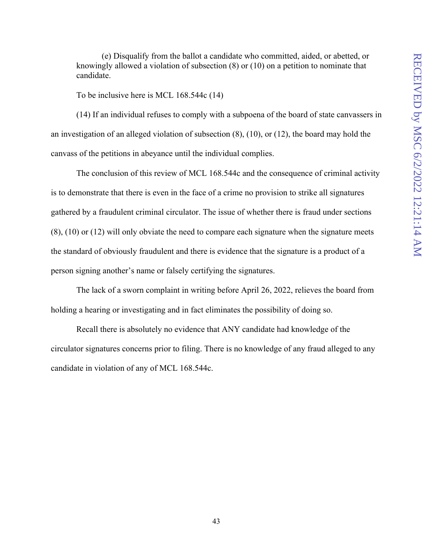(e) Disqualify from the ballot a candidate who committed, aided, or abetted, or knowingly allowed a violation of subsection (8) or (10) on a petition to nominate that candidate.

To be inclusive here is MCL 168.544c (14)

(14) If an individual refuses to comply with a subpoena of the board of state canvassers in an investigation of an alleged violation of subsection (8), (10), or (12), the board may hold the canvass of the petitions in abeyance until the individual complies.

The conclusion of this review of MCL 168.544c and the consequence of criminal activity is to demonstrate that there is even in the face of a crime no provision to strike all signatures gathered by a fraudulent criminal circulator. The issue of whether there is fraud under sections (8), (10) or (12) will only obviate the need to compare each signature when the signature meets the standard of obviously fraudulent and there is evidence that the signature is a product of a person signing another's name or falsely certifying the signatures.

The lack of a sworn complaint in writing before April 26, 2022, relieves the board from holding a hearing or investigating and in fact eliminates the possibility of doing so.

Recall there is absolutely no evidence that ANY candidate had knowledge of the circulator signatures concerns prior to filing. There is no knowledge of any fraud alleged to any candidate in violation of any of MCL 168.544c.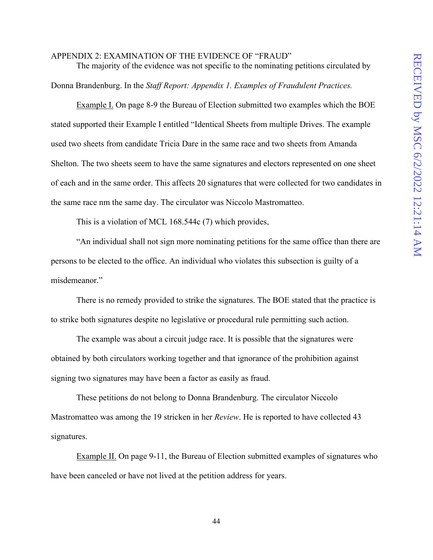# <span id="page-47-0"></span>APPENDIX 2: EXAMINATION OF THE EVIDENCE OF "FRAUD" The majority of the evidence was not specific to the nominating petitions circulated by

# Donna Brandenburg. In the *Staff Report: Appendix 1. Examples of Fraudulent Practices.*

Example I. On page 8-9 the Bureau of Election submitted two examples which the BOE stated supported their Example I entitled "Identical Sheets from multiple Drives. The example used two sheets from candidate Tricia Dare in the same race and two sheets from Amanda Shelton. The two sheets seem to have the same signatures and electors represented on one sheet of each and in the same order. This affects 20 signatures that were collected for two candidates in the same race nm the same day. The circulator was Niccolo Mastromatteo.

This is a violation of MCL 168.544c (7) which provides,

"An individual shall not sign more nominating petitions for the same office than there are persons to be elected to the office. An individual who violates this subsection is guilty of a misdemeanor."

There is no remedy provided to strike the signatures. The BOE stated that the practice is to strike both signatures despite no legislative or procedural rule permitting such action.

The example was about a circuit judge race. It is possible that the signatures were obtained by both circulators working together and that ignorance of the prohibition against signing two signatures may have been a factor as easily as fraud.

These petitions do not belong to Donna Brandenburg. The circulator Niccolo Mastromatteo was among the 19 stricken in her *Review*. He is reported to have collected 43 signatures.

Example II. On page 9-11, the Bureau of Election submitted examples of signatures who have been canceled or have not lived at the petition address for years.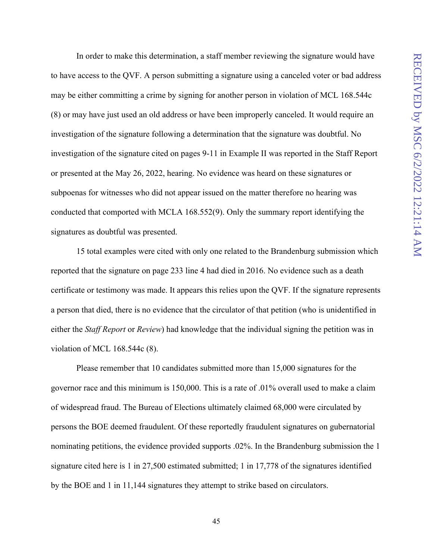In order to make this determination, a staff member reviewing the signature would have to have access to the QVF. A person submitting a signature using a canceled voter or bad address may be either committing a crime by signing for another person in violation of MCL 168.544c (8) or may have just used an old address or have been improperly canceled. It would require an investigation of the signature following a determination that the signature was doubtful. No investigation of the signature cited on pages 9-11 in Example II was reported in the Staff Report or presented at the May 26, 2022, hearing. No evidence was heard on these signatures or subpoenas for witnesses who did not appear issued on the matter therefore no hearing was conducted that comported with MCLA 168.552(9). Only the summary report identifying the signatures as doubtful was presented.

15 total examples were cited with only one related to the Brandenburg submission which reported that the signature on page 233 line 4 had died in 2016. No evidence such as a death certificate or testimony was made. It appears this relies upon the QVF. If the signature represents a person that died, there is no evidence that the circulator of that petition (who is unidentified in either the *Staff Report* or *Review*) had knowledge that the individual signing the petition was in violation of MCL 168.544c (8).

Please remember that 10 candidates submitted more than 15,000 signatures for the governor race and this minimum is 150,000. This is a rate of .01% overall used to make a claim of widespread fraud. The Bureau of Elections ultimately claimed 68,000 were circulated by persons the BOE deemed fraudulent. Of these reportedly fraudulent signatures on gubernatorial nominating petitions, the evidence provided supports .02%. In the Brandenburg submission the 1 signature cited here is 1 in 27,500 estimated submitted; 1 in 17,778 of the signatures identified by the BOE and 1 in 11,144 signatures they attempt to strike based on circulators.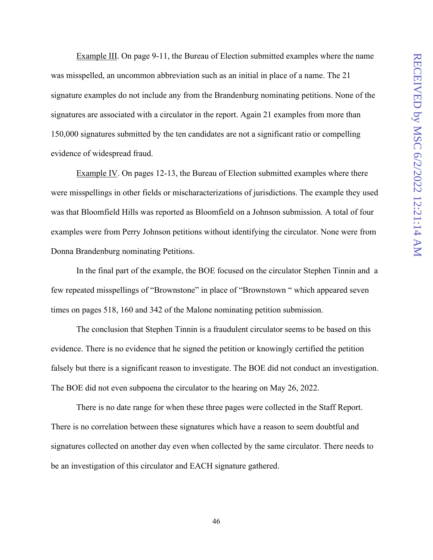Example III. On page 9-11, the Bureau of Election submitted examples where the name was misspelled, an uncommon abbreviation such as an initial in place of a name. The 21 signature examples do not include any from the Brandenburg nominating petitions. None of the signatures are associated with a circulator in the report. Again 21 examples from more than 150,000 signatures submitted by the ten candidates are not a significant ratio or compelling evidence of widespread fraud.

Example IV. On pages 12-13, the Bureau of Election submitted examples where there were misspellings in other fields or mischaracterizations of jurisdictions. The example they used was that Bloomfield Hills was reported as Bloomfield on a Johnson submission. A total of four examples were from Perry Johnson petitions without identifying the circulator. None were from Donna Brandenburg nominating Petitions.

In the final part of the example, the BOE focused on the circulator Stephen Tinnin and a few repeated misspellings of "Brownstone" in place of "Brownstown " which appeared seven times on pages 518, 160 and 342 of the Malone nominating petition submission.

The conclusion that Stephen Tinnin is a fraudulent circulator seems to be based on this evidence. There is no evidence that he signed the petition or knowingly certified the petition falsely but there is a significant reason to investigate. The BOE did not conduct an investigation. The BOE did not even subpoena the circulator to the hearing on May 26, 2022.

There is no date range for when these three pages were collected in the Staff Report. There is no correlation between these signatures which have a reason to seem doubtful and signatures collected on another day even when collected by the same circulator. There needs to be an investigation of this circulator and EACH signature gathered.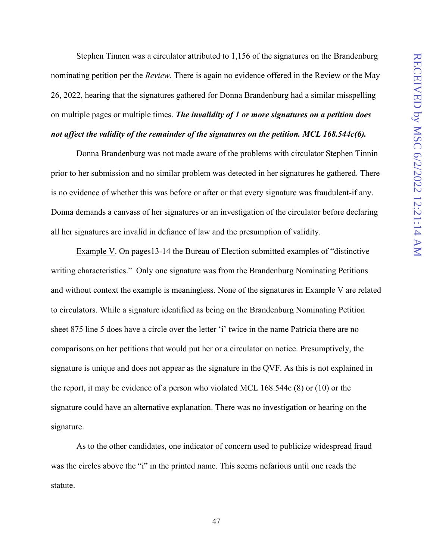Stephen Tinnen was a circulator attributed to 1,156 of the signatures on the Brandenburg nominating petition per the *Review*. There is again no evidence offered in the Review or the May 26, 2022, hearing that the signatures gathered for Donna Brandenburg had a similar misspelling on multiple pages or multiple times. *The invalidity of 1 or more signatures on a petition does not affect the validity of the remainder of the signatures on the petition. MCL 168.544c(6).* 

Donna Brandenburg was not made aware of the problems with circulator Stephen Tinnin prior to her submission and no similar problem was detected in her signatures he gathered. There is no evidence of whether this was before or after or that every signature was fraudulent-if any. Donna demands a canvass of her signatures or an investigation of the circulator before declaring all her signatures are invalid in defiance of law and the presumption of validity.

Example V. On pages 13-14 the Bureau of Election submitted examples of "distinctive" writing characteristics." Only one signature was from the Brandenburg Nominating Petitions and without context the example is meaningless. None of the signatures in Example V are related to circulators. While a signature identified as being on the Brandenburg Nominating Petition sheet 875 line 5 does have a circle over the letter 'i' twice in the name Patricia there are no comparisons on her petitions that would put her or a circulator on notice. Presumptively, the signature is unique and does not appear as the signature in the QVF. As this is not explained in the report, it may be evidence of a person who violated MCL 168.544c (8) or (10) or the signature could have an alternative explanation. There was no investigation or hearing on the signature.

As to the other candidates, one indicator of concern used to publicize widespread fraud was the circles above the "i" in the printed name. This seems nefarious until one reads the statute.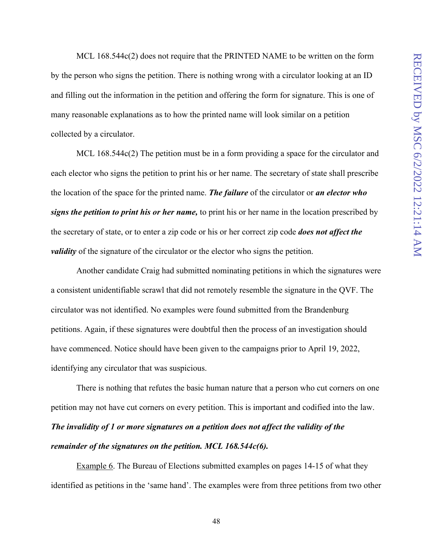MCL 168.544c(2) does not require that the PRINTED NAME to be written on the form by the person who signs the petition. There is nothing wrong with a circulator looking at an ID and filling out the information in the petition and offering the form for signature. This is one of many reasonable explanations as to how the printed name will look similar on a petition collected by a circulator.

MCL 168.544c(2) The petition must be in a form providing a space for the circulator and each elector who signs the petition to print his or her name. The secretary of state shall prescribe the location of the space for the printed name. *The failure* of the circulator or *an elector who signs the petition to print his or her name,* to print his or her name in the location prescribed by the secretary of state, or to enter a zip code or his or her correct zip code *does not affect the validity* of the signature of the circulator or the elector who signs the petition.

Another candidate Craig had submitted nominating petitions in which the signatures were a consistent unidentifiable scrawl that did not remotely resemble the signature in the QVF. The circulator was not identified. No examples were found submitted from the Brandenburg petitions. Again, if these signatures were doubtful then the process of an investigation should have commenced. Notice should have been given to the campaigns prior to April 19, 2022, identifying any circulator that was suspicious.

There is nothing that refutes the basic human nature that a person who cut corners on one petition may not have cut corners on every petition. This is important and codified into the law. *The invalidity of 1 or more signatures on a petition does not affect the validity of the remainder of the signatures on the petition. MCL 168.544c(6).*

Example 6. The Bureau of Elections submitted examples on pages 14-15 of what they identified as petitions in the 'same hand'. The examples were from three petitions from two other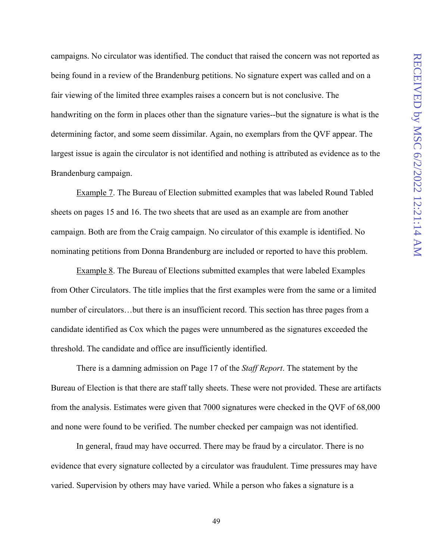campaigns. No circulator was identified. The conduct that raised the concern was not reported as being found in a review of the Brandenburg petitions. No signature expert was called and on a fair viewing of the limited three examples raises a concern but is not conclusive. The handwriting on the form in places other than the signature varies--but the signature is what is the determining factor, and some seem dissimilar. Again, no exemplars from the QVF appear. The largest issue is again the circulator is not identified and nothing is attributed as evidence as to the Brandenburg campaign.

Example 7. The Bureau of Election submitted examples that was labeled Round Tabled sheets on pages 15 and 16. The two sheets that are used as an example are from another campaign. Both are from the Craig campaign. No circulator of this example is identified. No nominating petitions from Donna Brandenburg are included or reported to have this problem.

Example 8. The Bureau of Elections submitted examples that were labeled Examples from Other Circulators. The title implies that the first examples were from the same or a limited number of circulators…but there is an insufficient record. This section has three pages from a candidate identified as Cox which the pages were unnumbered as the signatures exceeded the threshold. The candidate and office are insufficiently identified.

There is a damning admission on Page 17 of the *Staff Report*. The statement by the Bureau of Election is that there are staff tally sheets. These were not provided. These are artifacts from the analysis. Estimates were given that 7000 signatures were checked in the QVF of 68,000 and none were found to be verified. The number checked per campaign was not identified.

In general, fraud may have occurred. There may be fraud by a circulator. There is no evidence that every signature collected by a circulator was fraudulent. Time pressures may have varied. Supervision by others may have varied. While a person who fakes a signature is a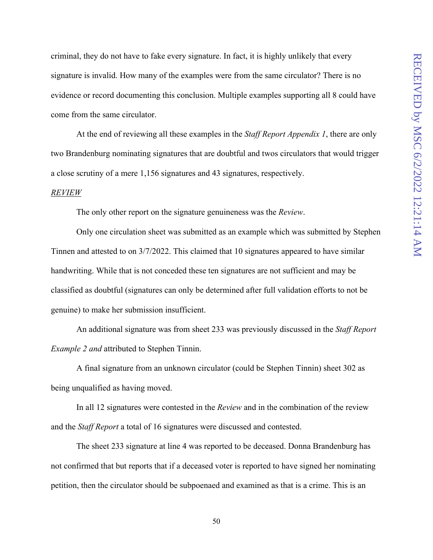criminal, they do not have to fake every signature. In fact, it is highly unlikely that every signature is invalid. How many of the examples were from the same circulator? There is no evidence or record documenting this conclusion. Multiple examples supporting all 8 could have come from the same circulator.

At the end of reviewing all these examples in the *Staff Report Appendix 1*, there are only two Brandenburg nominating signatures that are doubtful and twos circulators that would trigger a close scrutiny of a mere 1,156 signatures and 43 signatures, respectively.

#### *REVIEW*

The only other report on the signature genuineness was the *Review*.

Only one circulation sheet was submitted as an example which was submitted by Stephen Tinnen and attested to on 3/7/2022. This claimed that 10 signatures appeared to have similar handwriting. While that is not conceded these ten signatures are not sufficient and may be classified as doubtful (signatures can only be determined after full validation efforts to not be genuine) to make her submission insufficient.

An additional signature was from sheet 233 was previously discussed in the *Staff Report Example 2 and* attributed to Stephen Tinnin.

A final signature from an unknown circulator (could be Stephen Tinnin) sheet 302 as being unqualified as having moved.

In all 12 signatures were contested in the *Review* and in the combination of the review and the *Staff Report* a total of 16 signatures were discussed and contested.

The sheet 233 signature at line 4 was reported to be deceased. Donna Brandenburg has not confirmed that but reports that if a deceased voter is reported to have signed her nominating petition, then the circulator should be subpoenaed and examined as that is a crime. This is an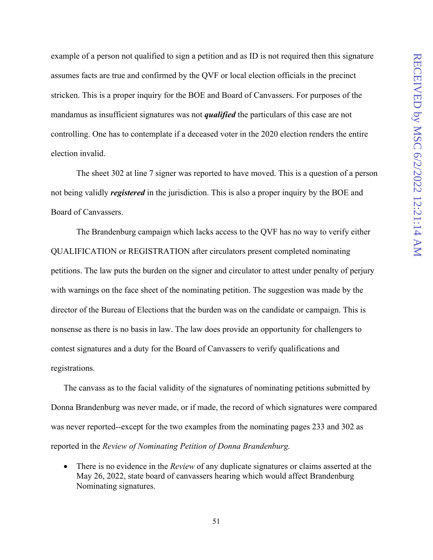example of a person not qualified to sign a petition and as ID is not required then this signature assumes facts are true and confirmed by the QVF or local election officials in the precinct stricken. This is a proper inquiry for the BOE and Board of Canvassers. For purposes of the mandamus as insufficient signatures was not *qualified* the particulars of this case are not controlling. One has to contemplate if a deceased voter in the 2020 election renders the entire election invalid.

The sheet 302 at line 7 signer was reported to have moved. This is a question of a person not being validly *registered* in the jurisdiction. This is also a proper inquiry by the BOE and Board of Canvassers.

The Brandenburg campaign which lacks access to the QVF has no way to verify either QUALIFICATION or REGISTRATION after circulators present completed nominating petitions. The law puts the burden on the signer and circulator to attest under penalty of perjury with warnings on the face sheet of the nominating petition. The suggestion was made by the director of the Bureau of Elections that the burden was on the candidate or campaign. This is nonsense as there is no basis in law. The law does provide an opportunity for challengers to contest signatures and a duty for the Board of Canvassers to verify qualifications and registrations.

The canvass as to the facial validity of the signatures of nominating petitions submitted by Donna Brandenburg was never made, or if made, the record of which signatures were compared was never reported--except for the two examples from the nominating pages 233 and 302 as reported in the *Review of Nominating Petition of Donna Brandenburg.*

• There is no evidence in the *Review* of any duplicate signatures or claims asserted at the May 26, 2022, state board of canvassers hearing which would affect Brandenburg Nominating signatures.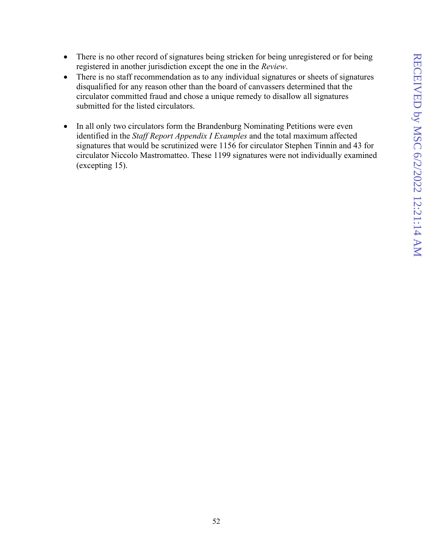- There is no other record of signatures being stricken for being unregistered or for being registered in another jurisdiction except the one in the *Review*.
- There is no staff recommendation as to any individual signatures or sheets of signatures disqualified for any reason other than the board of canvassers determined that the circulator committed fraud and chose a unique remedy to disallow all signatures submitted for the listed circulators.
- In all only two circulators form the Brandenburg Nominating Petitions were even identified in the *Staff Report Appendix I Examples* and the total maximum affected signatures that would be scrutinized were 1156 for circulator Stephen Tinnin and 43 for circulator Niccolo Mastromatteo. These 1199 signatures were not individually examined (excepting 15).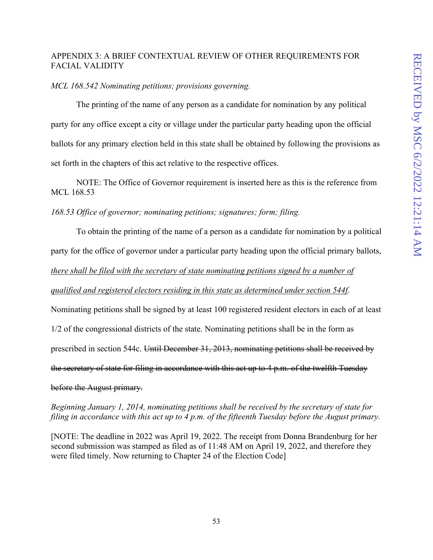# <span id="page-56-0"></span>APPENDIX 3: A BRIEF CONTEXTUAL REVIEW OF OTHER REQUIREMENTS FOR FACIAL VALIDITY

# <span id="page-56-1"></span>*MCL 168.542 Nominating petitions; provisions governing.*

The printing of the name of any person as a candidate for nomination by any political party for any office except a city or village under the particular party heading upon the official ballots for any primary election held in this state shall be obtained by following the provisions as set forth in the chapters of this act relative to the respective offices.

# NOTE: The Office of Governor requirement is inserted here as this is the reference from MCL 168.53

# <span id="page-56-2"></span>*168.53 Office of governor; nominating petitions; signatures; form; filing.*

To obtain the printing of the name of a person as a candidate for nomination by a political party for the office of governor under a particular party heading upon the official primary ballots, *there shall be filed with the secretary of state nominating petitions signed by a number of qualified and registered electors residing in this state as determined under section 544f*. Nominating petitions shall be signed by at least 100 registered resident electors in each of at least 1/2 of the congressional districts of the state. Nominating petitions shall be in the form as prescribed in section 544c. Until December 31, 2013, nominating petitions shall be received by the secretary of state for filing in accordance with this act up to 4 p.m. of the twelfth Tuesday before the August primary.

# *Beginning January 1, 2014, nominating petitions shall be received by the secretary of state for filing in accordance with this act up to 4 p.m. of the fifteenth Tuesday before the August primary.*

[NOTE: The deadline in 2022 was April 19, 2022. The receipt from Donna Brandenburg for her second submission was stamped as filed as of 11:48 AM on April 19, 2022, and therefore they were filed timely. Now returning to Chapter 24 of the Election Code]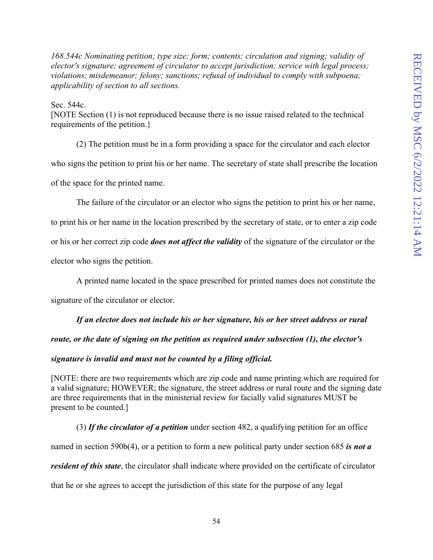<span id="page-57-0"></span>*168.544c Nominating petition; type size; form; contents; circulation and signing; validity of elector's signature; agreement of circulator to accept jurisdiction; service with legal process; violations; misdemeanor; felony; sanctions; refusal of individual to comply with subpoena; applicability of section to all sections.*

Sec. 544c.

[NOTE Section (1) is not reproduced because there is no issue raised related to the technical requirements of the petition.}

(2) The petition must be in a form providing a space for the circulator and each elector who signs the petition to print his or her name. The secretary of state shall prescribe the location of the space for the printed name.

The failure of the circulator or an elector who signs the petition to print his or her name,

to print his or her name in the location prescribed by the secretary of state, or to enter a zip code or his or her correct zip code *does not affect the validity* of the signature of the circulator or the elector who signs the petition.

A printed name located in the space prescribed for printed names does not constitute the signature of the circulator or elector.

# *If an elector does not include his or her signature, his or her street address or rural route, or the date of signing on the petition as required under subsection (1), the elector's*

#### *signature is invalid and must not be counted by a filing official.*

[NOTE: there are two requirements which are zip code and name printing which are required for a valid signature; HOWEVER; the signature, the street address or rural route and the signing date are three requirements that in the ministerial review for facially valid signatures MUST be present to be counted.]

(3) *If the circulator of a petition* under section 482, a qualifying petition for an office named in section 590b(4), or a petition to form a new political party under section 685 *is not a resident of this state*, the circulator shall indicate where provided on the certificate of circulator that he or she agrees to accept the jurisdiction of this state for the purpose of any legal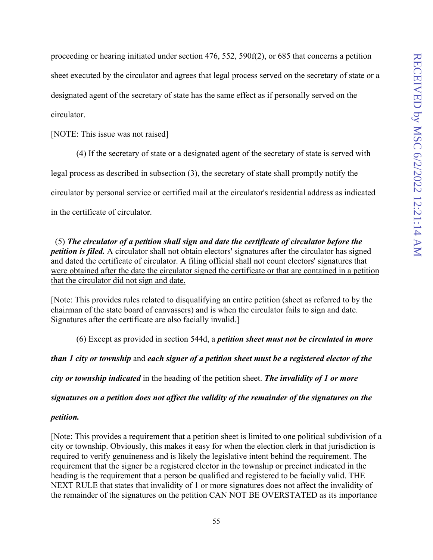proceeding or hearing initiated under section 476, 552, 590f(2), or 685 that concerns a petition sheet executed by the circulator and agrees that legal process served on the secretary of state or a designated agent of the secretary of state has the same effect as if personally served on the circulator.

[NOTE: This issue was not raised]

(4) If the secretary of state or a designated agent of the secretary of state is served with legal process as described in subsection (3), the secretary of state shall promptly notify the circulator by personal service or certified mail at the circulator's residential address as indicated in the certificate of circulator.

 (5) *The circulator of a petition shall sign and date the certificate of circulator before the petition is filed.* A circulator shall not obtain electors' signatures after the circulator has signed and dated the certificate of circulator. A filing official shall not count electors' signatures that were obtained after the date the circulator signed the certificate or that are contained in a petition that the circulator did not sign and date.

[Note: This provides rules related to disqualifying an entire petition (sheet as referred to by the chairman of the state board of canvassers) and is when the circulator fails to sign and date. Signatures after the certificate are also facially invalid.]

(6) Except as provided in section 544d, a *petition sheet must not be circulated in more* 

*than 1 city or township* and *each signer of a petition sheet must be a registered elector of the* 

*city or township indicated* in the heading of the petition sheet. *The invalidity of 1 or more* 

*signatures on a petition does not affect the validity of the remainder of the signatures on the* 

#### *petition.*

[Note: This provides a requirement that a petition sheet is limited to one political subdivision of a city or township. Obviously, this makes it easy for when the election clerk in that jurisdiction is required to verify genuineness and is likely the legislative intent behind the requirement. The requirement that the signer be a registered elector in the township or precinct indicated in the heading is the requirement that a person be qualified and registered to be facially valid. THE NEXT RULE that states that invalidity of 1 or more signatures does not affect the invalidity of the remainder of the signatures on the petition CAN NOT BE OVERSTATED as its importance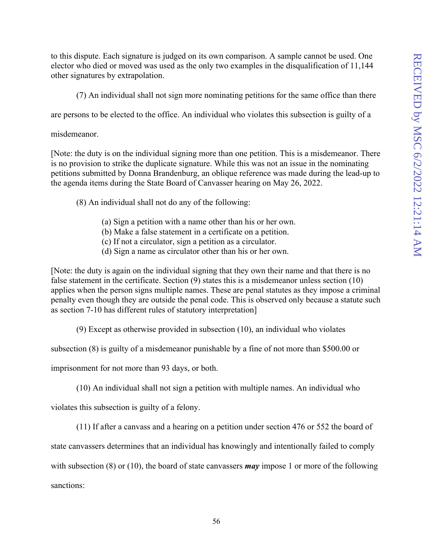to this dispute. Each signature is judged on its own comparison. A sample cannot be used. One elector who died or moved was used as the only two examples in the disqualification of 11,144 other signatures by extrapolation.

(7) An individual shall not sign more nominating petitions for the same office than there

are persons to be elected to the office. An individual who violates this subsection is guilty of a

misdemeanor.

[Note: the duty is on the individual signing more than one petition. This is a misdemeanor. There is no provision to strike the duplicate signature. While this was not an issue in the nominating petitions submitted by Donna Brandenburg, an oblique reference was made during the lead-up to the agenda items during the State Board of Canvasser hearing on May 26, 2022.

(8) An individual shall not do any of the following:

- (a) Sign a petition with a name other than his or her own.
- (b) Make a false statement in a certificate on a petition.
- (c) If not a circulator, sign a petition as a circulator.
- (d) Sign a name as circulator other than his or her own.

[Note: the duty is again on the individual signing that they own their name and that there is no false statement in the certificate. Section (9) states this is a misdemeanor unless section (10) applies when the person signs multiple names. These are penal statutes as they impose a criminal penalty even though they are outside the penal code. This is observed only because a statute such as section 7-10 has different rules of statutory interpretation]

(9) Except as otherwise provided in subsection (10), an individual who violates

subsection (8) is guilty of a misdemeanor punishable by a fine of not more than \$500.00 or

imprisonment for not more than 93 days, or both.

(10) An individual shall not sign a petition with multiple names. An individual who

violates this subsection is guilty of a felony.

(11) If after a canvass and a hearing on a petition under section 476 or 552 the board of

state canvassers determines that an individual has knowingly and intentionally failed to comply

with subsection (8) or (10), the board of state canvassers *may* impose 1 or more of the following

sanctions: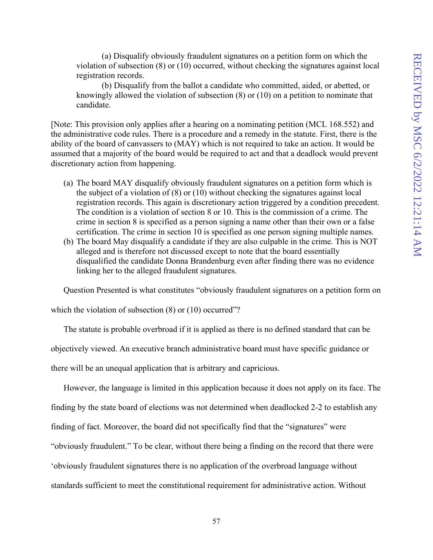(a) Disqualify obviously fraudulent signatures on a petition form on which the violation of subsection (8) or (10) occurred, without checking the signatures against local registration records.

(b) Disqualify from the ballot a candidate who committed, aided, or abetted, or knowingly allowed the violation of subsection (8) or (10) on a petition to nominate that candidate.

[Note: This provision only applies after a hearing on a nominating petition (MCL 168.552) and the administrative code rules. There is a procedure and a remedy in the statute. First, there is the ability of the board of canvassers to (MAY) which is not required to take an action. It would be assumed that a majority of the board would be required to act and that a deadlock would prevent discretionary action from happening.

- (a) The board MAY disqualify obviously fraudulent signatures on a petition form which is the subject of a violation of (8) or (10) without checking the signatures against local registration records. This again is discretionary action triggered by a condition precedent. The condition is a violation of section 8 or 10. This is the commission of a crime. The crime in section 8 is specified as a person signing a name other than their own or a false certification. The crime in section 10 is specified as one person signing multiple names.
- (b) The board May disqualify a candidate if they are also culpable in the crime. This is NOT alleged and is therefore not discussed except to note that the board essentially disqualified the candidate Donna Brandenburg even after finding there was no evidence linking her to the alleged fraudulent signatures.

Question Presented is what constitutes "obviously fraudulent signatures on a petition form on

which the violation of subsection (8) or (10) occurred"?

The statute is probable overbroad if it is applied as there is no defined standard that can be objectively viewed. An executive branch administrative board must have specific guidance or there will be an unequal application that is arbitrary and capricious.

However, the language is limited in this application because it does not apply on its face. The finding by the state board of elections was not determined when deadlocked 2-2 to establish any finding of fact. Moreover, the board did not specifically find that the "signatures" were "obviously fraudulent." To be clear, without there being a finding on the record that there were 'obviously fraudulent signatures there is no application of the overbroad language without standards sufficient to meet the constitutional requirement for administrative action. Without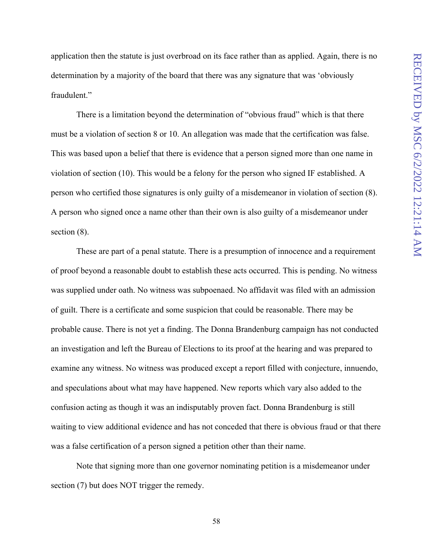application then the statute is just overbroad on its face rather than as applied. Again, there is no determination by a majority of the board that there was any signature that was 'obviously fraudulent."

There is a limitation beyond the determination of "obvious fraud" which is that there must be a violation of section 8 or 10. An allegation was made that the certification was false. This was based upon a belief that there is evidence that a person signed more than one name in violation of section (10). This would be a felony for the person who signed IF established. A person who certified those signatures is only guilty of a misdemeanor in violation of section (8). A person who signed once a name other than their own is also guilty of a misdemeanor under section  $(8)$ .

These are part of a penal statute. There is a presumption of innocence and a requirement of proof beyond a reasonable doubt to establish these acts occurred. This is pending. No witness was supplied under oath. No witness was subpoenaed. No affidavit was filed with an admission of guilt. There is a certificate and some suspicion that could be reasonable. There may be probable cause. There is not yet a finding. The Donna Brandenburg campaign has not conducted an investigation and left the Bureau of Elections to its proof at the hearing and was prepared to examine any witness. No witness was produced except a report filled with conjecture, innuendo, and speculations about what may have happened. New reports which vary also added to the confusion acting as though it was an indisputably proven fact. Donna Brandenburg is still waiting to view additional evidence and has not conceded that there is obvious fraud or that there was a false certification of a person signed a petition other than their name.

Note that signing more than one governor nominating petition is a misdemeanor under section (7) but does NOT trigger the remedy.

58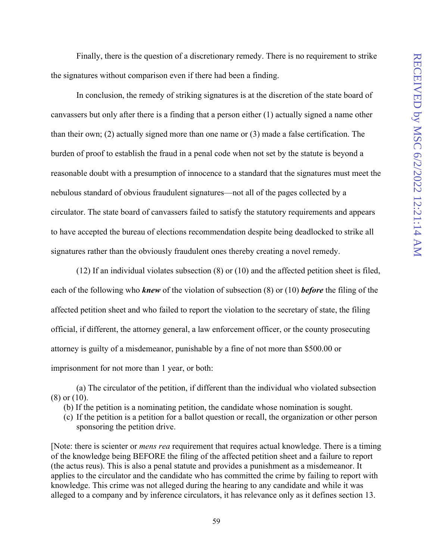Finally, there is the question of a discretionary remedy. There is no requirement to strike the signatures without comparison even if there had been a finding.

In conclusion, the remedy of striking signatures is at the discretion of the state board of canvassers but only after there is a finding that a person either (1) actually signed a name other than their own; (2) actually signed more than one name or (3) made a false certification. The burden of proof to establish the fraud in a penal code when not set by the statute is beyond a reasonable doubt with a presumption of innocence to a standard that the signatures must meet the nebulous standard of obvious fraudulent signatures—not all of the pages collected by a circulator. The state board of canvassers failed to satisfy the statutory requirements and appears to have accepted the bureau of elections recommendation despite being deadlocked to strike all signatures rather than the obviously fraudulent ones thereby creating a novel remedy.

(12) If an individual violates subsection (8) or (10) and the affected petition sheet is filed, each of the following who *knew* of the violation of subsection (8) or (10) *before* the filing of the affected petition sheet and who failed to report the violation to the secretary of state, the filing official, if different, the attorney general, a law enforcement officer, or the county prosecuting attorney is guilty of a misdemeanor, punishable by a fine of not more than \$500.00 or imprisonment for not more than 1 year, or both:

(a) The circulator of the petition, if different than the individual who violated subsection (8) or (10).

(b) If the petition is a nominating petition, the candidate whose nomination is sought.

(c) If the petition is a petition for a ballot question or recall, the organization or other person sponsoring the petition drive.

[Note: there is scienter or *mens rea* requirement that requires actual knowledge. There is a timing of the knowledge being BEFORE the filing of the affected petition sheet and a failure to report (the actus reus). This is also a penal statute and provides a punishment as a misdemeanor. It applies to the circulator and the candidate who has committed the crime by failing to report with knowledge. This crime was not alleged during the hearing to any candidate and while it was alleged to a company and by inference circulators, it has relevance only as it defines section 13.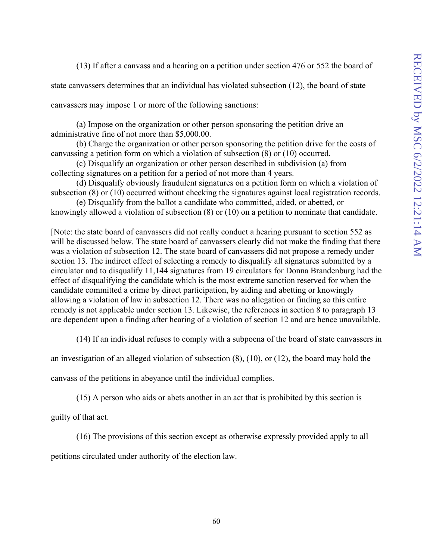(13) If after a canvass and a hearing on a petition under section 476 or 552 the board of

state canvassers determines that an individual has violated subsection (12), the board of state

canvassers may impose 1 or more of the following sanctions:

(a) Impose on the organization or other person sponsoring the petition drive an administrative fine of not more than \$5,000.00.

(b) Charge the organization or other person sponsoring the petition drive for the costs of canvassing a petition form on which a violation of subsection (8) or (10) occurred.

(c) Disqualify an organization or other person described in subdivision (a) from collecting signatures on a petition for a period of not more than 4 years.

(d) Disqualify obviously fraudulent signatures on a petition form on which a violation of subsection (8) or (10) occurred without checking the signatures against local registration records.

(e) Disqualify from the ballot a candidate who committed, aided, or abetted, or knowingly allowed a violation of subsection (8) or (10) on a petition to nominate that candidate.

[Note: the state board of canvassers did not really conduct a hearing pursuant to section 552 as will be discussed below. The state board of canvassers clearly did not make the finding that there was a violation of subsection 12. The state board of canvassers did not propose a remedy under section 13. The indirect effect of selecting a remedy to disqualify all signatures submitted by a circulator and to disqualify 11,144 signatures from 19 circulators for Donna Brandenburg had the effect of disqualifying the candidate which is the most extreme sanction reserved for when the candidate committed a crime by direct participation, by aiding and abetting or knowingly allowing a violation of law in subsection 12. There was no allegation or finding so this entire remedy is not applicable under section 13. Likewise, the references in section 8 to paragraph 13 are dependent upon a finding after hearing of a violation of section 12 and are hence unavailable.

(14) If an individual refuses to comply with a subpoena of the board of state canvassers in

an investigation of an alleged violation of subsection (8), (10), or (12), the board may hold the

canvass of the petitions in abeyance until the individual complies.

(15) A person who aids or abets another in an act that is prohibited by this section is

guilty of that act.

(16) The provisions of this section except as otherwise expressly provided apply to all

petitions circulated under authority of the election law.